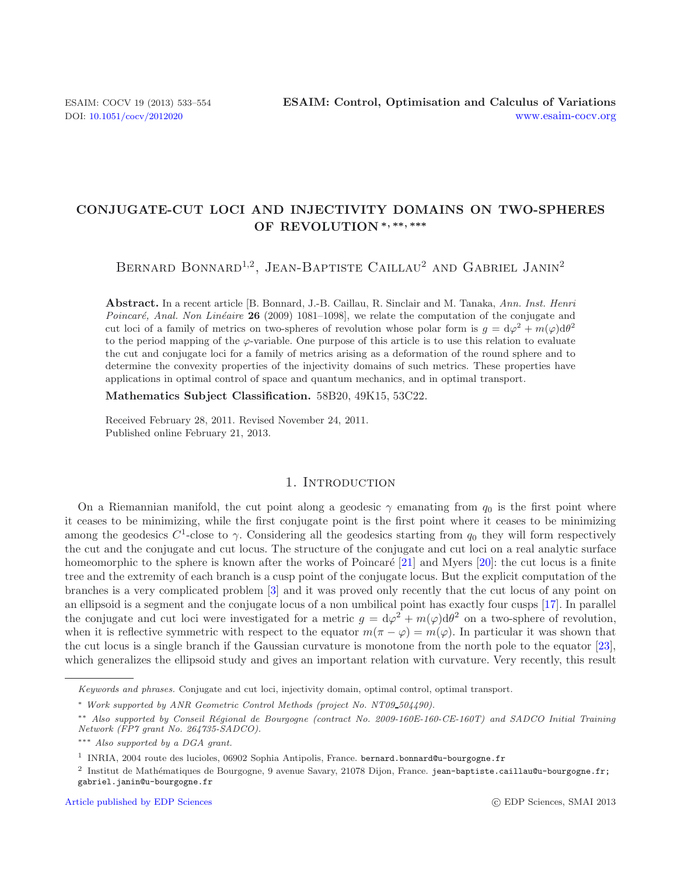# **CONJUGATE-CUT LOCI AND INJECTIVITY DOMAINS ON TWO-SPHERES OF REVOLUTION** *<sup>∗</sup>, ∗∗, ∗∗∗*

BERNARD BONNARD<sup>1,2</sup>, JEAN-BAPTISTE CAILLAU<sup>2</sup> AND GABRIEL JANIN<sup>2</sup>

**Abstract.** In a recent article [B. Bonnard, J.-B. Caillau, R. Sinclair and M. Tanaka, *Ann. Inst. Henri Poincaré, Anal. Non Linéaire* 26 (2009) 1081–1098, we relate the computation of the conjugate and cut loci of a family of metrics on two-spheres of revolution whose polar form is  $g = d\varphi^2 + m(\varphi)d\theta^2$ to the period mapping of the  $\varphi$ -variable. One purpose of this article is to use this relation to evaluate the cut and conjugate loci for a family of metrics arising as a deformation of the round sphere and to determine the convexity properties of the injectivity domains of such metrics. These properties have applications in optimal control of space and quantum mechanics, and in optimal transport.

**Mathematics Subject Classification.** 58B20, 49K15, 53C22.

Received February 28, 2011. Revised November 24, 2011. Published online February 21, 2013.

## 1. INTRODUCTION

On a Riemannian manifold, the cut point along a geodesic  $\gamma$  emanating from  $q_0$  is the first point where it ceases to be minimizing, while the first conjugate point is the first point where it ceases to be minimizing among the geodesics  $C^1$ -close to  $\gamma$ . Considering all the geodesics starting from  $q_0$  they will form respectively the cut and the conjugate and cut locus. The structure of the conjugate and cut loci on a real analytic surface homeomorphic to the sphere is known after the works of Poincaré [\[21\]](#page-21-0) and Myers [\[20](#page-21-1)]: the cut locus is a finite tree and the extremity of each branch is a cusp point of the conjugate locus. But the explicit computation of the branches is a very complicated problem [\[3\]](#page-20-0) and it was proved only recently that the cut locus of any point on an ellipsoid is a segment and the conjugate locus of a non umbilical point has exactly four cusps [\[17](#page-21-2)]. In parallel the conjugate and cut loci were investigated for a metric  $g = d\varphi^2 + m(\varphi)d\theta^2$  on a two-sphere of revolution, when it is reflective symmetric with respect to the equator  $m(\pi - \varphi) = m(\varphi)$ . In particular it was shown that the cut locus is a single branch if the Gaussian curvature is monotone from the north pole to the equator [\[23](#page-21-3)], which generalizes the ellipsoid study and gives an important relation with curvature. Very recently, this result

[Article published by EDP Sciences](http://www.edpsciences.org)

Keywords and phrases. Conjugate and cut loci, injectivity domain, optimal control, optimal transport.

<sup>∗</sup> Work supported by ANR Geometric Control Methods (project No. NT09 504490).

<sup>∗∗</sup> Also supported by Conseil R´egional de Bourgogne (contract No. 2009-160E-160-CE-160T) and SADCO Initial Training Network (FP7 grant No. 264735-SADCO).

<sup>∗∗∗</sup> Also supported by a DGA grant.

<sup>&</sup>lt;sup>1</sup> INRIA, 2004 route des lucioles, 06902 Sophia Antipolis, France. bernard.bonnard@u-bourgogne.fr

<sup>&</sup>lt;sup>2</sup> Institut de Mathématiques de Bourgogne, 9 avenue Savary, 21078 Dijon, France. jean-baptiste.caillau@u-bourgogne.fr; gabriel.janin@u-bourgogne.fr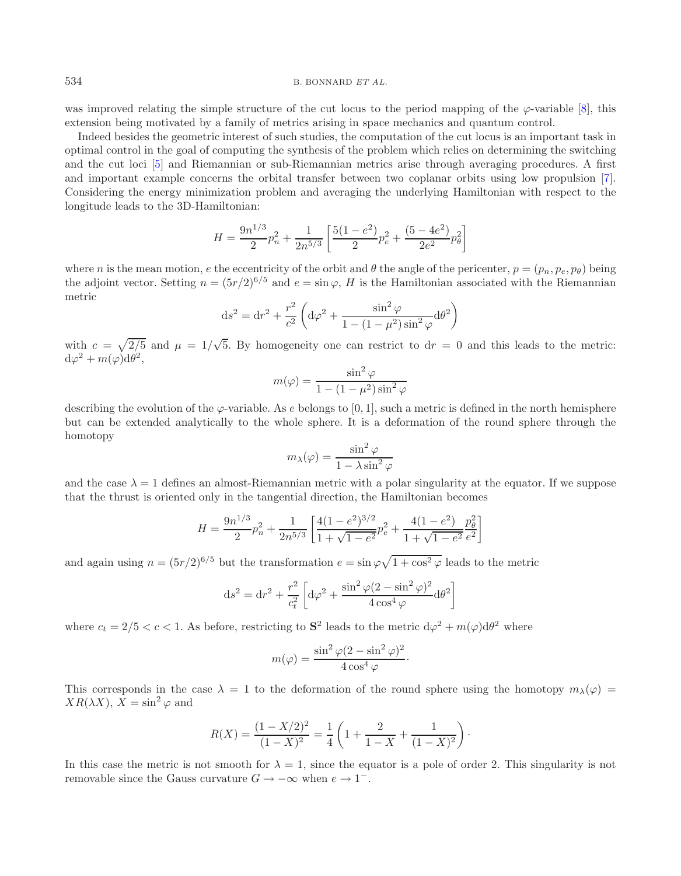#### 534 B. BONNARD *ET AL.*

was improved relating the simple structure of the cut locus to the period mapping of the  $\varphi$ -variable [\[8](#page-20-1)], this extension being motivated by a family of metrics arising in space mechanics and quantum control.

Indeed besides the geometric interest of such studies, the computation of the cut locus is an important task in optimal control in the goal of computing the synthesis of the problem which relies on determining the switching and the cut loci [\[5](#page-20-2)] and Riemannian or sub-Riemannian metrics arise through averaging procedures. A first and important example concerns the orbital transfer between two coplanar orbits using low propulsion [\[7](#page-20-3)]. Considering the energy minimization problem and averaging the underlying Hamiltonian with respect to the longitude leads to the 3D-Hamiltonian:

$$
H = \frac{9n^{1/3}}{2}p_n^2 + \frac{1}{2n^{5/3}} \left[ \frac{5(1 - e^2)}{2} p_e^2 + \frac{(5 - 4e^2)}{2e^2} p_\theta^2 \right]
$$

where n is the mean motion, e the eccentricity of the orbit and  $\theta$  the angle of the pericenter,  $p = (p_n, p_e, p_\theta)$  being the adjoint vector. Setting  $n = (5r/2)^{6/5}$  and  $e = \sin \varphi$ , H is the Hamiltonian associated with the Riemannian metric

$$
ds^{2} = dr^{2} + \frac{r^{2}}{c^{2}} \left( d\varphi^{2} + \frac{\sin^{2} \varphi}{1 - (1 - \mu^{2}) \sin^{2} \varphi} d\theta^{2} \right)
$$

with  $c = \sqrt{2/5}$  and  $\mu = 1/\sqrt{2/5}$ 5. By homogeneity one can restrict to  $dr = 0$  and this leads to the metric:  $d\varphi^2 + m(\varphi)d\theta^2$ ,

$$
m(\varphi) = \frac{\sin^2 \varphi}{1 - (1 - \mu^2)\sin^2 \varphi}
$$

describing the evolution of the  $\varphi$ -variable. As e belongs to [0, 1], such a metric is defined in the north hemisphere but can be extended analytically to the whole sphere. It is a deformation of the round sphere through the homotopy

$$
m_{\lambda}(\varphi) = \frac{\sin^2 \varphi}{1 - \lambda \sin^2 \varphi}
$$

and the case  $\lambda = 1$  defines an almost-Riemannian metric with a polar singularity at the equator. If we suppose that the thrust is oriented only in the tangential direction, the Hamiltonian becomes

$$
H = \frac{9n^{1/3}}{2}p_n^2 + \frac{1}{2n^{5/3}} \left[ \frac{4(1-e^2)^{3/2}}{1+\sqrt{1-e^2}} p_e^2 + \frac{4(1-e^2)}{1+\sqrt{1-e^2}} \frac{p_\theta^2}{e^2} \right]
$$

and again using  $n = (5r/2)^{6/5}$  but the transformation  $e = \sin \varphi \sqrt{1 + \cos^2 \varphi}$  leads to the metric

$$
ds^{2} = dr^{2} + \frac{r^{2}}{c_{t}^{2}} \left[ d\varphi^{2} + \frac{\sin^{2} \varphi (2 - \sin^{2} \varphi)^{2}}{4 \cos^{4} \varphi} d\theta^{2} \right]
$$

where  $c_t = 2/5 < c < 1$ . As before, restricting to  $S^2$  leads to the metric  $d\varphi^2 + m(\varphi)d\theta^2$  where

$$
m(\varphi) = \frac{\sin^2 \varphi (2 - \sin^2 \varphi)^2}{4 \cos^4 \varphi}.
$$

This corresponds in the case  $\lambda = 1$  to the deformation of the round sphere using the homotopy  $m_\lambda(\varphi)$  $XR(\lambda X), X = \sin^2 \varphi$  and

$$
R(X) = \frac{(1 - X/2)^2}{(1 - X)^2} = \frac{1}{4} \left( 1 + \frac{2}{1 - X} + \frac{1}{(1 - X)^2} \right).
$$

In this case the metric is not smooth for  $\lambda = 1$ , since the equator is a pole of order 2. This singularity is not removable since the Gauss curvature  $G \to -\infty$  when  $e \to 1^-$ .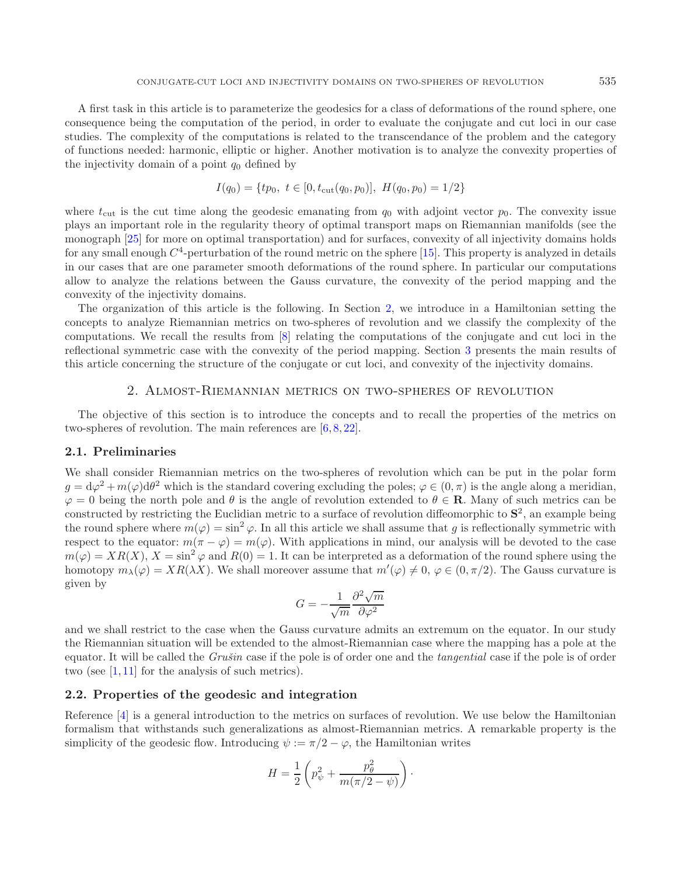A first task in this article is to parameterize the geodesics for a class of deformations of the round sphere, one consequence being the computation of the period, in order to evaluate the conjugate and cut loci in our case studies. The complexity of the computations is related to the transcendance of the problem and the category of functions needed: harmonic, elliptic or higher. Another motivation is to analyze the convexity properties of the injectivity domain of a point  $q_0$  defined by

$$
I(q_0) = \{tp_0, t \in [0, t_{\rm cut}(q_0, p_0)], H(q_0, p_0) = 1/2\}
$$

where  $t_{\text{cut}}$  is the cut time along the geodesic emanating from  $q_0$  with adjoint vector  $p_0$ . The convexity issue plays an important role in the regularity theory of optimal transport maps on Riemannian manifolds (see the monograph [\[25](#page-21-4)] for more on optimal transportation) and for surfaces, convexity of all injectivity domains holds for any small enough  $C^4$ -perturbation of the round metric on the sphere [\[15\]](#page-21-5). This property is analyzed in details in our cases that are one parameter smooth deformations of the round sphere. In particular our computations allow to analyze the relations between the Gauss curvature, the convexity of the period mapping and the convexity of the injectivity domains.

The organization of this article is the following. In Section [2,](#page-2-0) we introduce in a Hamiltonian setting the concepts to analyze Riemannian metrics on two-spheres of revolution and we classify the complexity of the computations. We recall the results from [\[8\]](#page-20-1) relating the computations of the conjugate and cut loci in the reflectional symmetric case with the convexity of the period mapping. Section [3](#page-6-0) presents the main results of this article concerning the structure of the conjugate or cut loci, and convexity of the injectivity domains.

## 2. Almost-Riemannian metrics on two-spheres of revolution

<span id="page-2-0"></span>The objective of this section is to introduce the concepts and to recall the properties of the metrics on two-spheres of revolution. The main references are [\[6](#page-20-4), [8](#page-20-1), [22](#page-21-6)].

### **2.1. Preliminaries**

We shall consider Riemannian metrics on the two-spheres of revolution which can be put in the polar form  $g = d\varphi^2 + m(\varphi)d\theta^2$  which is the standard covering excluding the poles;  $\varphi \in (0, \pi)$  is the angle along a meridian,  $\varphi = 0$  being the north pole and  $\theta$  is the angle of revolution extended to  $\theta \in \mathbf{R}$ . Many of such metrics can be constructed by restricting the Euclidian metric to a surface of revolution diffeomorphic to **S**<sup>2</sup>, an example being the round sphere where  $m(\varphi) = \sin^2 \varphi$ . In all this article we shall assume that q is reflectionally symmetric with respect to the equator:  $m(\pi - \varphi) = m(\varphi)$ . With applications in mind, our analysis will be devoted to the case  $m(\varphi) = XR(X), X = \sin^2 \varphi$  and  $R(0) = 1$ . It can be interpreted as a deformation of the round sphere using the homotopy  $m_\lambda(\varphi) = XR(\lambda X)$ . We shall moreover assume that  $m'(\varphi) \neq 0$ ,  $\varphi \in (0, \pi/2)$ . The Gauss curvature is given by

$$
G = -\frac{1}{\sqrt{m}} \frac{\partial^2 \sqrt{m}}{\partial \varphi^2}
$$

and we shall restrict to the case when the Gauss curvature admits an extremum on the equator. In our study the Riemannian situation will be extended to the almost-Riemannian case where the mapping has a pole at the equator. It will be called the *Grušin* case if the pole is of order one and the *tangential* case if the pole is of order two (see  $[1, 11]$  $[1, 11]$  $[1, 11]$  $[1, 11]$  for the analysis of such metrics).

## **2.2. Properties of the geodesic and integration**

Reference [\[4\]](#page-20-6) is a general introduction to the metrics on surfaces of revolution. We use below the Hamiltonian formalism that withstands such generalizations as almost-Riemannian metrics. A remarkable property is the simplicity of the geodesic flow. Introducing  $\psi := \pi/2 - \varphi$ , the Hamiltonian writes

$$
H = \frac{1}{2} \left( p_{\psi}^2 + \frac{p_{\theta}^2}{m(\pi/2 - \psi)} \right).
$$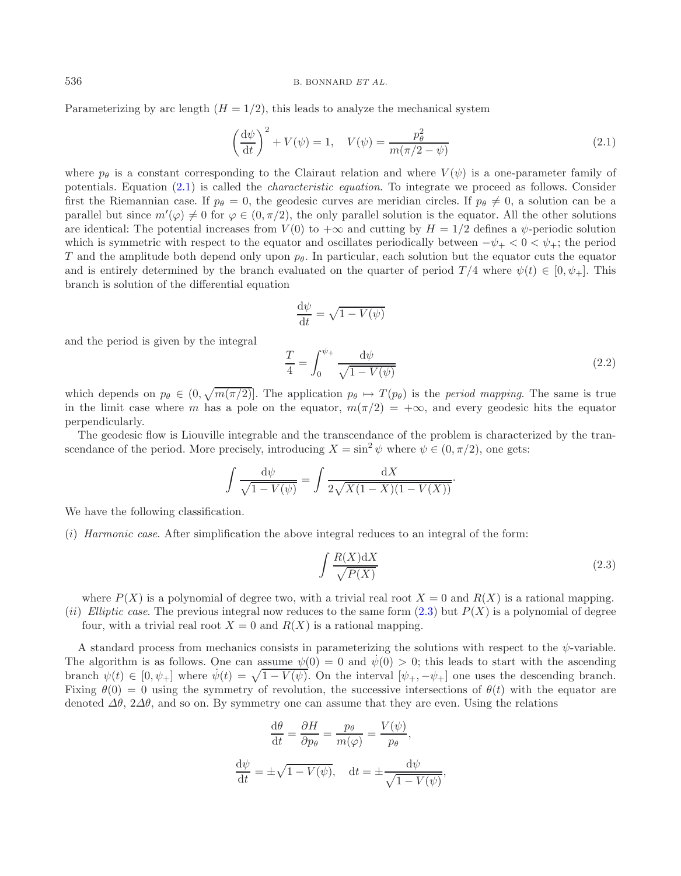#### 536 B. BONNARD *ET AL.*

Parameterizing by arc length  $(H = 1/2)$ , this leads to analyze the mechanical system

<span id="page-3-0"></span>
$$
\left(\frac{\mathrm{d}\psi}{\mathrm{d}t}\right)^2 + V(\psi) = 1, \quad V(\psi) = \frac{p_\theta^2}{m(\pi/2 - \psi)}\tag{2.1}
$$

where  $p_{\theta}$  is a constant corresponding to the Clairaut relation and where  $V(\psi)$  is a one-parameter family of potentials. Equation [\(2.1\)](#page-3-0) is called the *characteristic equation*. To integrate we proceed as follows. Consider first the Riemannian case. If  $p_{\theta} = 0$ , the geodesic curves are meridian circles. If  $p_{\theta} \neq 0$ , a solution can be a parallel but since  $m'(\varphi) \neq 0$  for  $\varphi \in (0, \pi/2)$ , the only parallel solution is the equator. All the other solutions are identical: The potential increases from  $V(0)$  to  $+\infty$  and cutting by  $H = 1/2$  defines a  $\psi$ -periodic solution which is symmetric with respect to the equator and oscillates periodically between  $-\psi_+ < 0 < \psi_+$ ; the period T and the amplitude both depend only upon  $p_{\theta}$ . In particular, each solution but the equator cuts the equator and is entirely determined by the branch evaluated on the quarter of period  $T/4$  where  $\psi(t) \in [0, \psi_+]$ . This branch is solution of the differential equation

<span id="page-3-1"></span>
$$
\frac{\mathrm{d}\psi}{\mathrm{d}t} = \sqrt{1 - V(\psi)}
$$

and the period is given by the integral

$$
\frac{T}{4} = \int_0^{\psi_+} \frac{\mathrm{d}\psi}{\sqrt{1 - V(\psi)}}\tag{2.2}
$$

which depends on  $p_{\theta} \in (0, \sqrt{m(\pi/2)})$ . The application  $p_{\theta} \mapsto T(p_{\theta})$  is the *period mapping*. The same is true in the limit case where m has a pole on the equator,  $m(\pi/2) = +\infty$ , and every geodesic hits the equator perpendicularly.

The geodesic flow is Liouville integrable and the transcendance of the problem is characterized by the transcendance of the period. More precisely, introducing  $X = \sin^2 \psi$  where  $\psi \in (0, \pi/2)$ , one gets:

$$
\int \frac{\mathrm{d}\psi}{\sqrt{1 - V(\psi)}} = \int \frac{\mathrm{d}X}{2\sqrt{X(1 - X)(1 - V(X))}}.
$$

We have the following classification.

(i) *Harmonic case*. After simplification the above integral reduces to an integral of the form:

$$
\int \frac{R(X)dX}{\sqrt{P(X)}}
$$
\n(2.3)

where  $P(X)$  is a polynomial of degree two, with a trivial real root  $X = 0$  and  $R(X)$  is a rational mapping. (ii) *Elliptic case*. The previous integral now reduces to the same form  $(2.3)$  but  $P(X)$  is a polynomial of degree four, with a trivial real root  $X = 0$  and  $R(X)$  is a rational mapping.

A standard process from mechanics consists in parameterizing the solutions with respect to the  $\psi$ -variable. The algorithm is as follows. One can assume  $\psi(0) = 0$  and  $\dot{\psi}(0) > 0$ ; this leads to start with the ascending branch  $\psi(t) \in [0, \psi_+]$  where  $\psi(t) = \sqrt{1 - V(\psi)}$ . On the interval  $[\psi_+, -\psi_+]$  one uses the descending branch. Fixing  $\theta(0) = 0$  using the symmetry of revolution, the successive intersections of  $\theta(t)$  with the equator are denoted  $\Delta\theta$ ,  $2\Delta\theta$ , and so on. By symmetry one can assume that they are even. Using the relations

$$
\frac{d\theta}{dt} = \frac{\partial H}{\partial p_{\theta}} = \frac{p_{\theta}}{m(\varphi)} = \frac{V(\psi)}{p_{\theta}},
$$

$$
\frac{d\psi}{dt} = \pm \sqrt{1 - V(\psi)}, \quad dt = \pm \frac{d\psi}{\sqrt{1 - V(\psi)}},
$$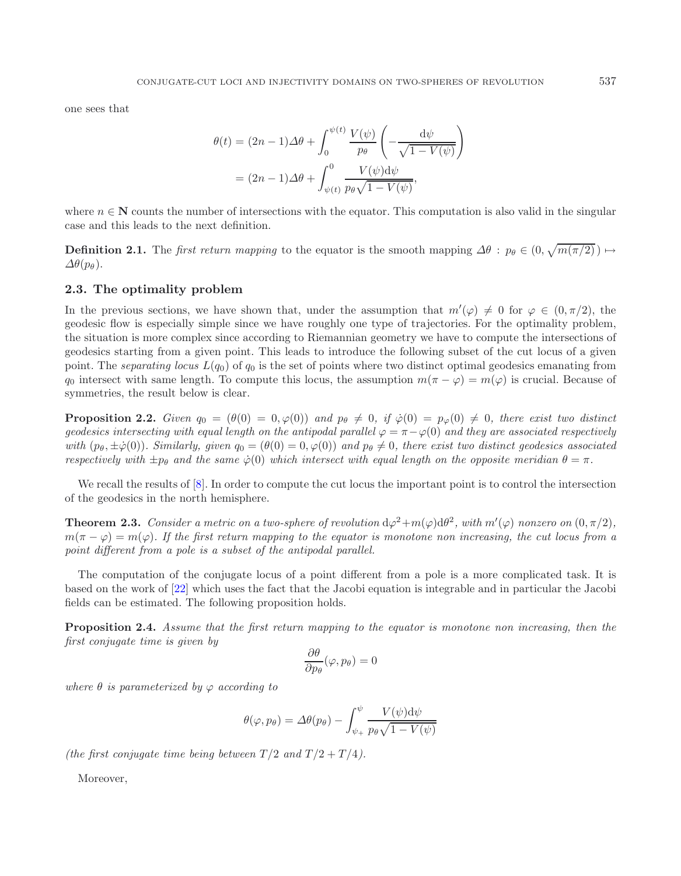one sees that

$$
\theta(t) = (2n - 1)\Delta\theta + \int_0^{\psi(t)} \frac{V(\psi)}{p_\theta} \left( -\frac{\mathrm{d}\psi}{\sqrt{1 - V(\psi)}} \right)
$$

$$
= (2n - 1)\Delta\theta + \int_{\psi(t)}^0 \frac{V(\psi)\mathrm{d}\psi}{p_\theta\sqrt{1 - V(\psi)}},
$$

where  $n \in \mathbb{N}$  counts the number of intersections with the equator. This computation is also valid in the singular case and this leads to the next definition.

**Definition 2.1.** The *first return mapping* to the equator is the smooth mapping  $\Delta\theta$ :  $p_\theta \in (0, \sqrt{m(\pi/2)}) \mapsto$  $\Delta\theta(p_\theta)$ .

# **2.3. The optimality problem**

In the previous sections, we have shown that, under the assumption that  $m'(\varphi) \neq 0$  for  $\varphi \in (0, \pi/2)$ , the geodesic flow is especially simple since we have roughly one type of trajectories. For the optimality problem, the situation is more complex since according to Riemannian geometry we have to compute the intersections of geodesics starting from a given point. This leads to introduce the following subset of the cut locus of a given point. The *separating locus*  $L(q_0)$  of  $q_0$  is the set of points where two distinct optimal geodesics emanating from  $q_0$  intersect with same length. To compute this locus, the assumption  $m(\pi - \varphi) = m(\varphi)$  is crucial. Because of symmetries, the result below is clear.

**Proposition 2.2.** *Given*  $q_0 = (\theta(0) = 0, \varphi(0))$  *and*  $p_\theta \neq 0$ , if  $\dot{\varphi}(0) = p_\varphi(0) \neq 0$ , there exist two distinct *geodesics intersecting with equal length on the antipodal parallel*  $\varphi = \pi - \varphi(0)$  *and they are associated respectively with*  $(p_{\theta}, \pm \dot{\varphi}(0))$ *. Similarly, given*  $q_0 = (\theta(0) = 0, \varphi(0))$  *and*  $p_{\theta} \neq 0$ *, there exist two distinct geodesics associated respectively with*  $\pm p_{\theta}$  *and the same*  $\varphi(0)$  *which intersect with equal length on the opposite meridian*  $\theta = \pi$ .

We recall the results of  $[8]$  $[8]$ . In order to compute the cut locus the important point is to control the intersection of the geodesics in the north hemisphere.

**Theorem 2.3.** Consider a metric on a two-sphere of revolution  $d\varphi^2 + m(\varphi)d\theta^2$ , with  $m'(\varphi)$  nonzero on  $(0, \pi/2)$ ,  $m(\pi - \varphi) = m(\varphi)$ . If the first return mapping to the equator is monotone non increasing, the cut locus from a *point different from a pole is a subset of the antipodal parallel.*

The computation of the conjugate locus of a point different from a pole is a more complicated task. It is based on the work of [\[22](#page-21-6)] which uses the fact that the Jacobi equation is integrable and in particular the Jacobi fields can be estimated. The following proposition holds.

**Proposition 2.4.** *Assume that the first return mapping to the equator is monotone non increasing, then the first conjugate time is given by*

$$
\frac{\partial \theta}{\partial p_{\theta}}(\varphi, p_{\theta}) = 0
$$

*where*  $\theta$  *is parameterized by*  $\varphi$  *according to* 

$$
\theta(\varphi, p_{\theta}) = \Delta\theta(p_{\theta}) - \int_{\psi_{+}}^{\psi} \frac{V(\psi) d\psi}{p_{\theta} \sqrt{1 - V(\psi)}}
$$

*(the first conjugate time being between*  $T/2$  *and*  $T/2 + T/4$ *).* 

Moreover,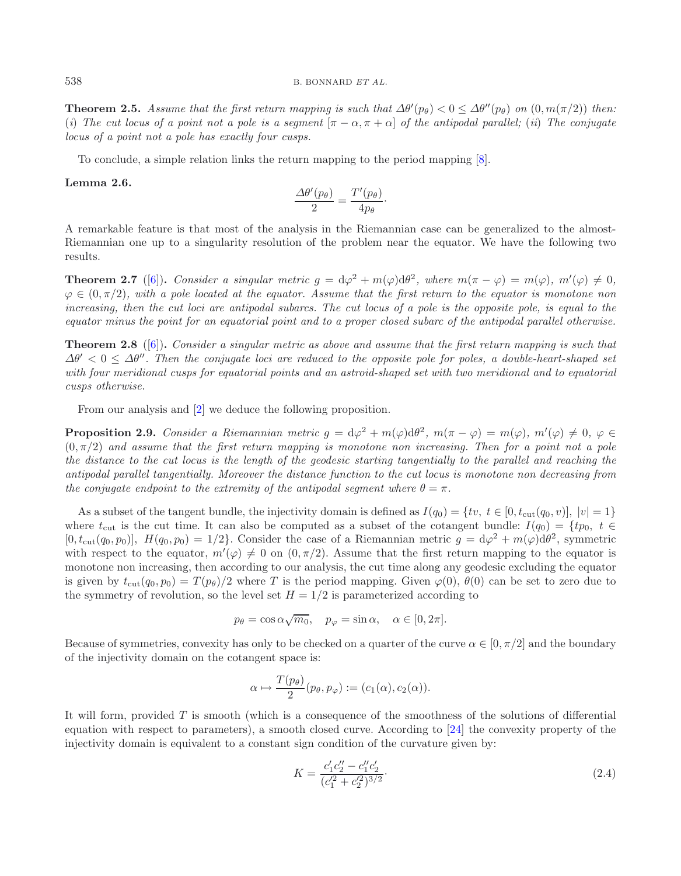#### 538 B. BONNARD *ET AL.*

**Theorem 2.5.** Assume that the first return mapping is such that  $\Delta\theta'(p_\theta) < 0 \leq \Delta\theta''(p_\theta)$  on  $(0, m(\pi/2))$  then: (*i*) The cut locus of a point not a pole is a segment  $[\pi - \alpha, \pi + \alpha]$  of the antipodal parallel; (*ii*) The conjugate *locus of a point not a pole has exactly four cusps.*

To conclude, a simple relation links the return mapping to the period mapping [\[8\]](#page-20-1).

**Lemma 2.6.**

$$
\frac{\Delta\theta'(p_{\theta})}{2} = \frac{T'(p_{\theta})}{4p_{\theta}}.
$$

A remarkable feature is that most of the analysis in the Riemannian case can be generalized to the almost-Riemannian one up to a singularity resolution of the problem near the equator. We have the following two results.

**Theorem 2.7** ([\[6\]](#page-20-4)). *Consider a singular metric*  $g = d\varphi^2 + m(\varphi)d\theta^2$ , where  $m(\pi - \varphi) = m(\varphi)$ ,  $m'(\varphi) \neq 0$ ,  $\varphi \in (0, \pi/2)$ *, with a pole located at the equator. Assume that the first return to the equator is monotone non increasing, then the cut loci are antipodal subarcs. The cut locus of a pole is the opposite pole, is equal to the equator minus the point for an equatorial point and to a proper closed subarc of the antipodal parallel otherwise.*

**Theorem 2.8** ([\[6\]](#page-20-4))**.** *Consider a singular metric as above and assume that the first return mapping is such that*  $\Delta\theta' < 0 \leq \Delta\theta''$ . Then the conjugate loci are reduced to the opposite pole for poles, a double-heart-shaped set *with four meridional cusps for equatorial points and an astroid-shaped set with two meridional and to equatorial cusps otherwise.*

From our analysis and [\[2\]](#page-20-7) we deduce the following proposition.

**Proposition 2.9.** *Consider a Riemannian metric*  $g = d\varphi^2 + m(\varphi)d\theta^2$ ,  $m(\pi - \varphi) = m(\varphi)$ ,  $m'(\varphi) \neq 0$ ,  $\varphi \in$  $(0, \pi/2)$  and assume that the first return mapping is monotone non increasing. Then for a point not a pole *the distance to the cut locus is the length of the geodesic starting tangentially to the parallel and reaching the antipodal parallel tangentially. Moreover the distance function to the cut locus is monotone non decreasing from the conjugate endpoint to the extremity of the antipodal segment where*  $\theta = \pi$ .

As a subset of the tangent bundle, the injectivity domain is defined as  $I(q_0) = \{tv, t \in [0, t_{cut}(q_0, v)], |v| = 1\}$ where  $t_{\text{cut}}$  is the cut time. It can also be computed as a subset of the cotangent bundle:  $I(q_0) = \{tp_0, t \in$  $[0, t_{\text{cut}}(q_0, p_0)], H(q_0, p_0) = 1/2\}$ . Consider the case of a Riemannian metric  $g = d\varphi^2 + m(\varphi)d\theta^2$ , symmetric with respect to the equator,  $m'(\varphi) \neq 0$  on  $(0, \pi/2)$ . Assume that the first return mapping to the equator is monotone non increasing, then according to our analysis, the cut time along any geodesic excluding the equator is given by  $t_{\text{cut}}(q_0, p_0) = T(p_\theta)/2$  where T is the period mapping. Given  $\varphi(0)$ ,  $\theta(0)$  can be set to zero due to the symmetry of revolution, so the level set  $H = 1/2$  is parameterized according to

<span id="page-5-0"></span>
$$
p_{\theta} = \cos \alpha \sqrt{m_0}, \quad p_{\varphi} = \sin \alpha, \quad \alpha \in [0, 2\pi].
$$

Because of symmetries, convexity has only to be checked on a quarter of the curve  $\alpha \in [0, \pi/2]$  and the boundary of the injectivity domain on the cotangent space is:

$$
\alpha \mapsto \frac{T(p_{\theta})}{2}(p_{\theta}, p_{\varphi}) := (c_1(\alpha), c_2(\alpha)).
$$

It will form, provided  $T$  is smooth (which is a consequence of the smoothness of the solutions of differential equation with respect to parameters), a smooth closed curve. According to [\[24](#page-21-8)] the convexity property of the injectivity domain is equivalent to a constant sign condition of the curvature given by:

$$
K = \frac{c'_1 c''_2 - c''_1 c'_2}{(c'^2_1 + c'^2_2)^{3/2}}.
$$
\n(2.4)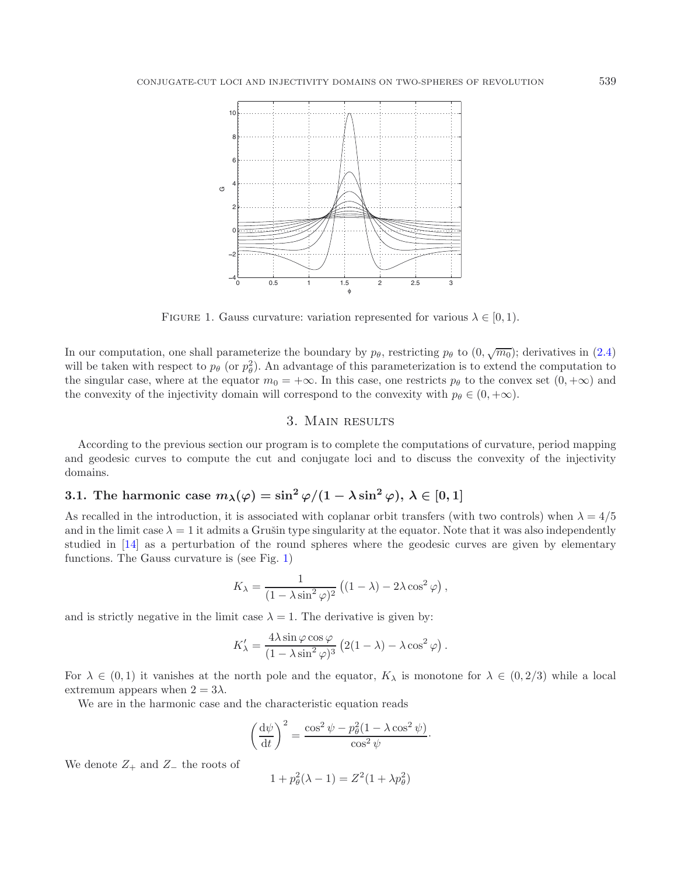<span id="page-6-1"></span>

FIGURE 1. Gauss curvature: variation represented for various  $\lambda \in [0,1)$ .

In our computation, one shall parameterize the boundary by  $p_{\theta}$ , restricting  $p_{\theta}$  to  $(0, \sqrt{m_0})$ ; derivatives in  $(2.4)$ will be taken with respect to  $p_{\theta}$  (or  $p_{\theta}^2$ ). An advantage of this parameterization is to extend the computation to the singular case, where at the equator  $m_0 = +\infty$ . In this case, one restricts  $p_\theta$  to the convex set  $(0, +\infty)$  and the convexity of the injectivity domain will correspond to the convexity with  $p_\theta \in (0, +\infty)$ .

# 3. Main results

<span id="page-6-0"></span>According to the previous section our program is to complete the computations of curvature, period mapping and geodesic curves to compute the cut and conjugate loci and to discuss the convexity of the injectivity domains.

# **3.1.** The harmonic case  $m_{\lambda}(\varphi) = \sin^2 \varphi/(1 - \lambda \sin^2 \varphi), \lambda \in [0, 1]$

As recalled in the introduction, it is associated with coplanar orbit transfers (with two controls) when  $\lambda = 4/5$ and in the limit case  $\lambda = 1$  it admits a Grustin type singularity at the equator. Note that it was also independently studied in [\[14\]](#page-21-9) as a perturbation of the round spheres where the geodesic curves are given by elementary functions. The Gauss curvature is (see Fig. [1\)](#page-6-1)

$$
K_{\lambda} = \frac{1}{(1 - \lambda \sin^2 \varphi)^2} ((1 - \lambda) - 2\lambda \cos^2 \varphi),
$$

and is strictly negative in the limit case  $\lambda = 1$ . The derivative is given by:

$$
K'_{\lambda} = \frac{4\lambda \sin \varphi \cos \varphi}{(1 - \lambda \sin^2 \varphi)^3} \left(2(1 - \lambda) - \lambda \cos^2 \varphi\right).
$$

For  $\lambda \in (0,1)$  it vanishes at the north pole and the equator,  $K_{\lambda}$  is monotone for  $\lambda \in (0,2/3)$  while a local extremum appears when  $2 = 3\lambda$ .

We are in the harmonic case and the characteristic equation reads

$$
\left(\frac{\mathrm{d}\psi}{\mathrm{d}t}\right)^2 = \frac{\cos^2\psi - p_\theta^2(1 - \lambda\cos^2\psi)}{\cos^2\psi}.
$$

We denote  $Z_+$  and  $Z_-$  the roots of

$$
1 + p_\theta^2(\lambda - 1) = Z^2(1 + \lambda p_\theta^2)
$$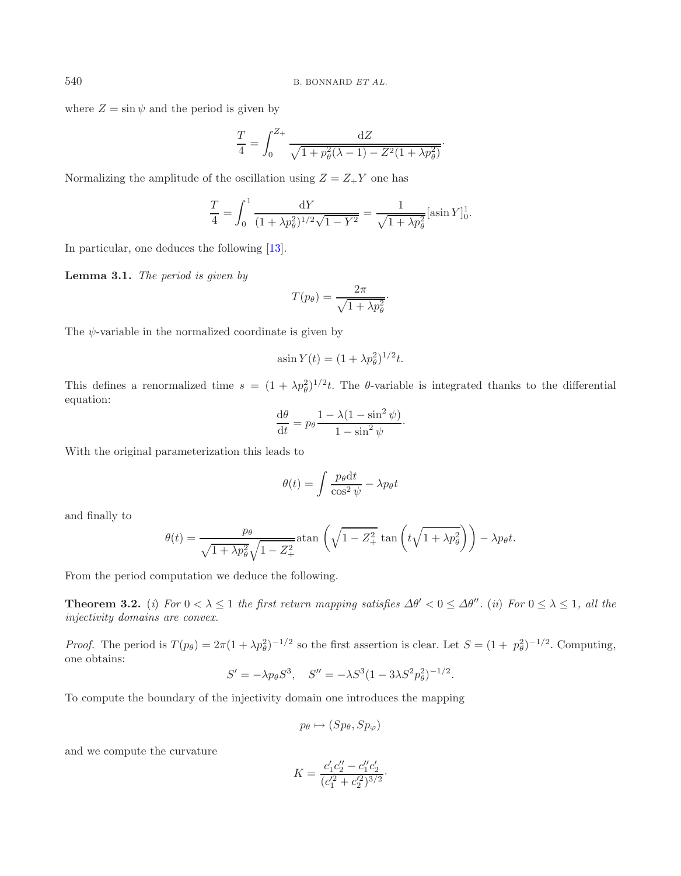where  $Z = \sin \psi$  and the period is given by

$$
\frac{T}{4} = \int_0^{Z_+} \frac{dZ}{\sqrt{1 + p_\theta^2(\lambda - 1) - Z^2(1 + \lambda p_\theta^2)}}.
$$

Normalizing the amplitude of the oscillation using  $Z = Z_{+}Y$  one has

$$
\frac{T}{4} = \int_0^1 \frac{dY}{(1 + \lambda p_\theta^2)^{1/2} \sqrt{1 - Y^2}} = \frac{1}{\sqrt{1 + \lambda p_\theta^2}} [\text{asin } Y]_0^1.
$$

In particular, one deduces the following [\[13](#page-21-10)].

**Lemma 3.1.** *The period is given by*

$$
T(p_{\theta}) = \frac{2\pi}{\sqrt{1 + \lambda p_{\theta}^2}}.
$$

The  $\psi$ -variable in the normalized coordinate is given by

$$
\operatorname{asin} Y(t) = (1 + \lambda p_\theta^2)^{1/2} t.
$$

This defines a renormalized time  $s = (1 + \lambda p_{\theta}^2)^{1/2}t$ . The  $\theta$ -variable is integrated thanks to the differential equation:

$$
\frac{\mathrm{d}\theta}{\mathrm{d}t} = p_{\theta} \frac{1 - \lambda (1 - \sin^2 \psi)}{1 - \sin^2 \psi}.
$$

With the original parameterization this leads to

$$
\theta(t) = \int \frac{p_{\theta} dt}{\cos^2 \psi} - \lambda p_{\theta} t
$$

and finally to

$$
\theta(t) = \frac{p_{\theta}}{\sqrt{1 + \lambda p_{\theta}^2} \sqrt{1 - Z_{+}^2}} \text{atan}\left(\sqrt{1 - Z_{+}^2} \tan\left(t\sqrt{1 + \lambda p_{\theta}^2}\right)\right) - \lambda p_{\theta}t.
$$

From the period computation we deduce the following.

**Theorem 3.2.** (*i*) For  $0 < \lambda \leq 1$  the first return mapping satisfies  $\Delta\theta' < 0 \leq \Delta\theta''$ . (*ii*) For  $0 \leq \lambda \leq 1$ , all the *injectivity domains are convex.*

*Proof.* The period is  $T(p_\theta) = 2\pi (1 + \lambda p_\theta^2)^{-1/2}$  so the first assertion is clear. Let  $S = (1 + p_\theta^2)^{-1/2}$ . Computing, one obtains:

$$
S' = -\lambda p_{\theta} S^3
$$
,  $S'' = -\lambda S^3 (1 - 3\lambda S^2 p_{\theta}^2)^{-1/2}$ .

To compute the boundary of the injectivity domain one introduces the mapping

$$
p_{\theta} \mapsto (Sp_{\theta}, Sp_{\varphi})
$$

and we compute the curvature

$$
K = \frac{c'_1 c''_2 - c''_1 c'_2}{(c'^2_1 + c'^2_2)^{3/2}}.
$$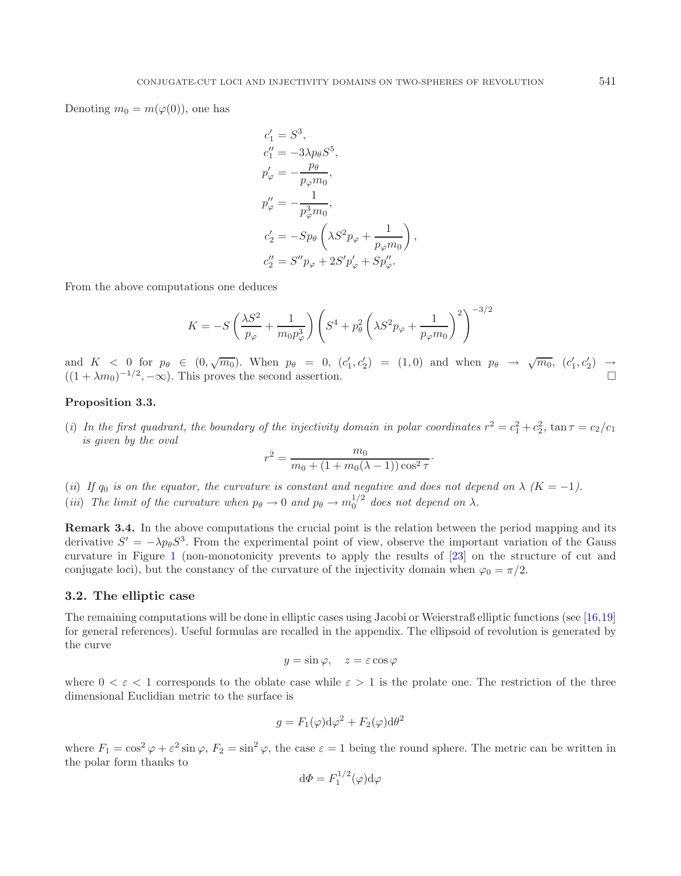Denoting  $m_0 = m(\varphi(0))$ , one has

$$
c'_1 = S^3,
$$
  
\n
$$
c''_1 = -3\lambda p_\theta S^5,
$$
  
\n
$$
p'_\varphi = -\frac{p_\theta}{p_\varphi m_0},
$$
  
\n
$$
p''_\varphi = -\frac{1}{p_\varphi^3 m_0},
$$
  
\n
$$
c'_2 = -Sp_\theta \left( \lambda S^2 p_\varphi + \frac{1}{p_\varphi m_0} \right),
$$
  
\n
$$
c''_2 = S'' p_\varphi + 2S' p'_\varphi + Sp''_\varphi.
$$

From the above computations one deduces

$$
K = -S\left(\frac{\lambda S^2}{p_{\varphi}} + \frac{1}{m_0 p_{\varphi}^3}\right) \left(S^4 + p_{\theta}^2 \left(\lambda S^2 p_{\varphi} + \frac{1}{p_{\varphi} m_0}\right)^2\right)^{-3/2}
$$

and  $K < 0$  for  $p_\theta \in (0, \sqrt{m_0})$ . When  $p_\theta = 0$ ,  $(c'_1, c'_2) = (1, 0)$  and when  $p_\theta \to \sqrt{m_0}$ ,  $(c'_1, c'_2) \to$  $((1 + \lambda m_0)^{-1/2}, -\infty)$ . This proves the second assertion.

## **Proposition 3.3.**

(*i*) In the first quadrant, the boundary of the injectivity domain in polar coordinates  $r^2 = c_1^2 + c_2^2$ ,  $\tan \tau = c_2/c_1$ *is given by the oval*

$$
r^{2} = \frac{m_{0}}{m_{0} + (1 + m_{0}(\lambda - 1))\cos^{2} \tau}
$$

·

(*ii*) *If*  $q_0$  *is on the equator, the curvature is constant and negative and does not depend on*  $\lambda$   $(K = -1)$ *.* (*iii*) The limit of the curvature when  $p_{\theta} \to 0$  and  $p_{\theta} \to m_0^{1/2}$  does not depend on  $\lambda$ .

**Remark 3.4.** In the above computations the crucial point is the relation between the period mapping and its derivative  $S' = -\lambda p_{\theta} S^3$ . From the experimental point of view, observe the important variation of the Gauss curvature in Figure [1](#page-6-1) (non-monotonicity prevents to apply the results of [\[23](#page-21-3)] on the structure of cut and conjugate loci), but the constancy of the curvature of the injectivity domain when  $\varphi_0 = \pi/2$ .

#### **3.2. The elliptic case**

The remaining computations will be done in elliptic cases using Jacobi or Weierstraß elliptic functions (see [\[16](#page-21-11)[,19\]](#page-21-12) for general references). Useful formulas are recalled in the appendix. The ellipsoid of revolution is generated by the curve

$$
y = \sin \varphi, \quad z = \varepsilon \cos \varphi
$$

where  $0 < \varepsilon < 1$  corresponds to the oblate case while  $\varepsilon > 1$  is the prolate one. The restriction of the three dimensional Euclidian metric to the surface is

$$
g = F_1(\varphi) \mathrm{d}\varphi^2 + F_2(\varphi) \mathrm{d}\theta^2
$$

where  $F_1 = \cos^2 \varphi + \varepsilon^2 \sin \varphi$ ,  $F_2 = \sin^2 \varphi$ , the case  $\varepsilon = 1$  being the round sphere. The metric can be written in the polar form thanks to

$$
\mathrm{d}\Phi = F_1^{1/2}(\varphi)\mathrm{d}\varphi
$$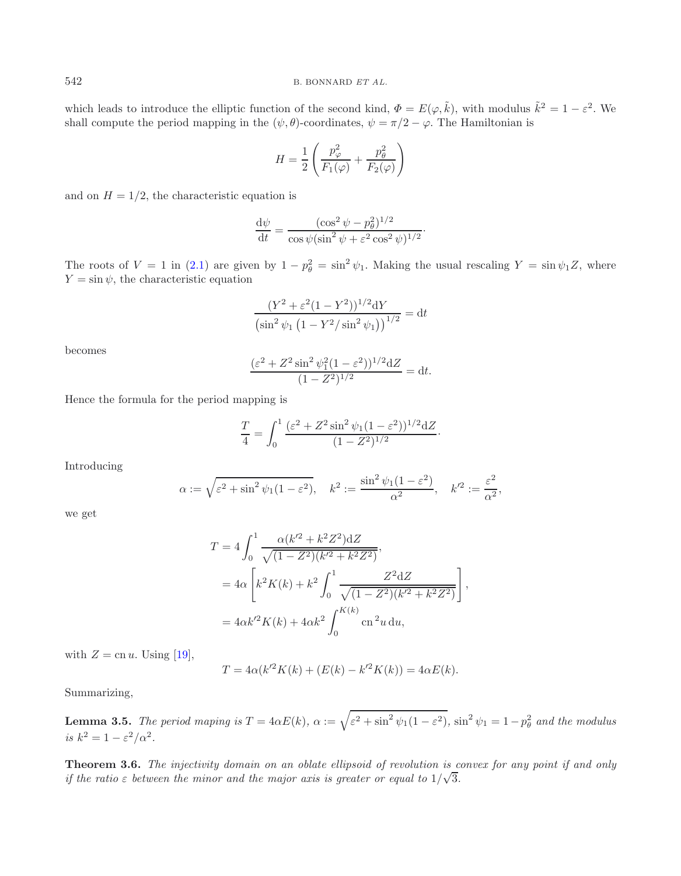which leads to introduce the elliptic function of the second kind,  $\Phi = E(\varphi, \tilde{k})$ , with modulus  $\tilde{k}^2 = 1 - \varepsilon^2$ . We shall compute the period mapping in the  $(\psi, \theta)$ -coordinates,  $\psi = \pi/2 - \varphi$ . The Hamiltonian is

$$
H = \frac{1}{2} \left( \frac{p_{\varphi}^2}{F_1(\varphi)} + \frac{p_{\theta}^2}{F_2(\varphi)} \right)
$$

and on  $H = 1/2$ , the characteristic equation is

$$
\frac{\mathrm{d}\psi}{\mathrm{d}t} = \frac{(\cos^2\psi - p_\theta^2)^{1/2}}{\cos\psi(\sin^2\psi + \varepsilon^2\cos^2\psi)^{1/2}}.
$$

The roots of  $V = 1$  in [\(2.1\)](#page-3-0) are given by  $1 - p_\theta^2 = \sin^2 \psi_1$ . Making the usual rescaling  $Y = \sin \psi_1 Z$ , where  $Y = \sin \psi$ , the characteristic equation

$$
\frac{(Y^2 + \varepsilon^2 (1 - Y^2))^{1/2} dY}{\left(\sin^2 \psi_1 \left(1 - Y^2 / \sin^2 \psi_1\right)\right)^{1/2}} = dt
$$

becomes

$$
\frac{(\varepsilon^2 + Z^2 \sin^2 \psi_1^2 (1 - \varepsilon^2))^{1/2} dZ}{(1 - Z^2)^{1/2}} = dt.
$$

Hence the formula for the period mapping is

$$
\frac{T}{4} = \int_0^1 \frac{(\varepsilon^2 + Z^2 \sin^2 \psi_1 (1 - \varepsilon^2))^{1/2} dZ}{(1 - Z^2)^{1/2}}.
$$

Introducing

$$
\alpha := \sqrt{\varepsilon^2 + \sin^2 \psi_1 (1 - \varepsilon^2)}, \quad k^2 := \frac{\sin^2 \psi_1 (1 - \varepsilon^2)}{\alpha^2}, \quad k'^2 := \frac{\varepsilon^2}{\alpha^2},
$$

<span id="page-9-0"></span>we get

$$
T = 4 \int_0^1 \frac{\alpha (k'^2 + k^2 Z^2) dZ}{\sqrt{(1 - Z^2)(k'^2 + k^2 Z^2)}},
$$
  
=  $4\alpha \left[ k^2 K(k) + k^2 \int_0^1 \frac{Z^2 dZ}{\sqrt{(1 - Z^2)(k'^2 + k^2 Z^2)}} \right],$   
=  $4\alpha k'^2 K(k) + 4\alpha k^2 \int_0^{K(k)} \text{cn}^2 u \, du,$ 

with  $Z = \text{cn } u$ . Using [\[19](#page-21-12)],

$$
T = 4\alpha (k'^{2}K(k) + (E(k) - k'^{2}K(k)) = 4\alpha E(k).
$$

Summarizing,

**Lemma 3.5.** *The period maping is*  $T = 4\alpha E(k)$ ,  $\alpha := \sqrt{\varepsilon^2 + \sin^2 \psi_1 (1 - \varepsilon^2)}$ ,  $\sin^2 \psi_1 = 1 - p_\theta^2$  *and the modulus is*  $k^2 = 1 - \varepsilon^2/\alpha^2$ .

<span id="page-9-1"></span>**Theorem 3.6.** *The injectivity domain on an oblate ellipsoid of revolution is convex for any point if and only* √ *if the ratio*  $\varepsilon$  *between the minor and the major axis is greater or equal to*  $1/\sqrt{3}$ *.*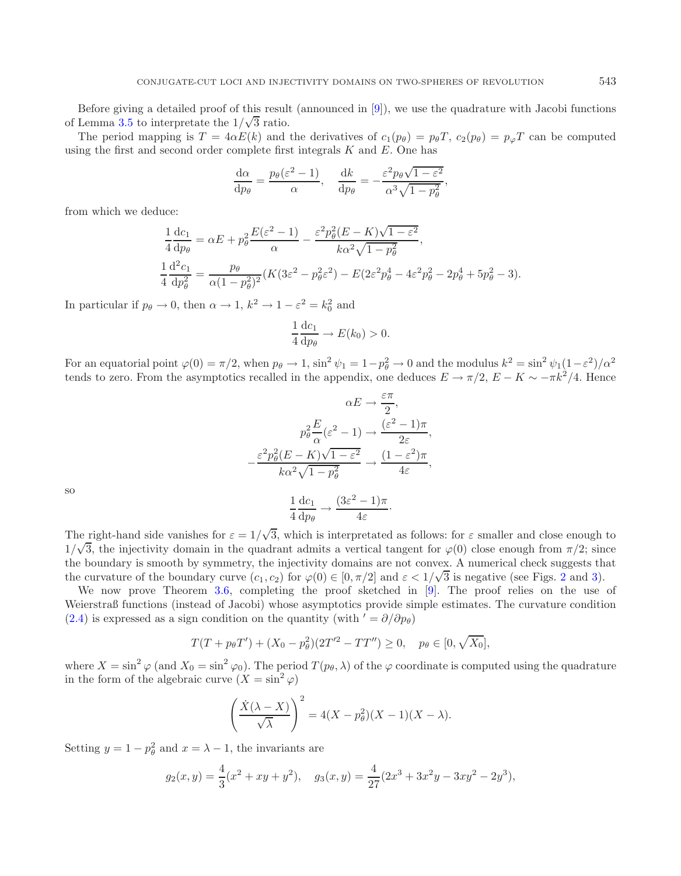Before giving a detailed proof of this result (announced in [\[9](#page-21-13)]), we use the quadrature with Jacobi functions of Lemma [3.5](#page-9-0) to interpretate the  $1/\sqrt{3}$  ratio.

The period mapping is  $T = 4\alpha E(k)$  and the derivatives of  $c_1(p_\theta) = p_\theta T$ ,  $c_2(p_\theta) = p_\varphi T$  can be computed using the first and second order complete first integrals  $K$  and  $E$ . One has

$$
\frac{\mathrm{d}\alpha}{\mathrm{d}p_{\theta}} = \frac{p_{\theta}(\varepsilon^2 - 1)}{\alpha}, \quad \frac{\mathrm{d}k}{\mathrm{d}p_{\theta}} = -\frac{\varepsilon^2 p_{\theta}\sqrt{1 - \varepsilon^2}}{\alpha^3 \sqrt{1 - p_{\theta}^2}},
$$

from which we deduce:

$$
\frac{1}{4}\frac{dc_1}{dp_\theta} = \alpha E + p_\theta^2 \frac{E(\varepsilon^2 - 1)}{\alpha} - \frac{\varepsilon^2 p_\theta^2 (E - K)\sqrt{1 - \varepsilon^2}}{k\alpha^2 \sqrt{1 - p_\theta^2}},
$$
  

$$
\frac{1}{4}\frac{d^2 c_1}{dp_\theta^2} = \frac{p_\theta}{\alpha (1 - p_\theta^2)^2} (K(3\varepsilon^2 - p_\theta^2 \varepsilon^2) - E(2\varepsilon^2 p_\theta^4 - 4\varepsilon^2 p_\theta^2 - 2p_\theta^4 + 5p_\theta^2 - 3).
$$

In particular if  $p_{\theta} \to 0$ , then  $\alpha \to 1$ ,  $k^2 \to 1 - \varepsilon^2 = k_0^2$  and

$$
\frac{1}{4}\frac{\mathrm{d}c_1}{\mathrm{d}p_\theta} \to E(k_0) > 0.
$$

For an equatorial point  $\varphi(0) = \pi/2$ , when  $p_\theta \to 1$ ,  $\sin^2 \psi_1 = 1 - p_\theta^2 \to 0$  and the modulus  $k^2 = \sin^2 \psi_1 (1 - \varepsilon^2)/\alpha^2$ tends to zero. From the asymptotics recalled in the appendix, one deduces  $E \to \pi/2$ ,  $E - K \sim -\pi k^2/4$ . Hence

$$
\alpha E \to \frac{\varepsilon \pi}{2},
$$

$$
p_{\theta}^{2} \frac{E}{\alpha} (\varepsilon^{2} - 1) \to \frac{(\varepsilon^{2} - 1)\pi}{2\varepsilon},
$$

$$
-\frac{\varepsilon^{2} p_{\theta}^{2} (E - K)\sqrt{1 - \varepsilon^{2}}}{k\alpha^{2} \sqrt{1 - p_{\theta}^{2}}} \to \frac{(1 - \varepsilon^{2})\pi}{4\varepsilon},
$$

$$
\frac{1}{4} \frac{dc_{1}}{dz} \to \frac{(3\varepsilon^{2} - 1)\pi}{4\varepsilon}.
$$

so

The right-hand side vanishes for  $\varepsilon = 1/$ √ be right-hand side vanishes for  $\varepsilon = 1/\sqrt{3}$ , which is interpretated as follows: for  $\varepsilon$  smaller and close enough to  $1/\sqrt{3}$ , the injectivity domain in the quadrant admits a vertical tangent for  $\varphi(0)$  close enough from  $\pi/2$ ; since the boundary is smooth by symmetry, the injectivity domains are not convex. A numerical check suggests that the curvature of the boundary curve  $(c_1, c_2)$  $(c_1, c_2)$  $(c_1, c_2)$  for  $\varphi(0) \in [0, \pi/2]$  and  $\varepsilon < 1/\sqrt{3}$  is negative (see Figs. 2 and [3\)](#page-11-1).

 $4\varepsilon$ 

 $4 dp_{\theta}$ 

We now prove Theorem [3.6,](#page-9-1) completing the proof sketched in [\[9](#page-21-13)]. The proof relies on the use of Weierstraß functions (instead of Jacobi) whose asymptotics provide simple estimates. The curvature condition  $(2.4)$  is expressed as a sign condition on the quantity (with  $' = \partial/\partial p_{\theta}$ )

$$
T(T + p_{\theta}T') + (X_0 - p_{\theta}^2)(2T'^2 - TT'') \ge 0, \quad p_{\theta} \in [0, \sqrt{X_0}],
$$

where  $X = \sin^2 \varphi$  (and  $X_0 = \sin^2 \varphi_0$ ). The period  $T(p_\theta, \lambda)$  of the  $\varphi$  coordinate is computed using the quadrature in the form of the algebraic curve  $(X = \sin^2 \varphi)$ 

$$
\left(\frac{\dot{X}(\lambda - X)}{\sqrt{\lambda}}\right)^2 = 4(X - p_\theta^2)(X - 1)(X - \lambda).
$$

Setting  $y = 1 - p_\theta^2$  and  $x = \lambda - 1$ , the invariants are

$$
g_2(x, y) = \frac{4}{3}(x^2 + xy + y^2), \quad g_3(x, y) = \frac{4}{27}(2x^3 + 3x^2y - 3xy^2 - 2y^3),
$$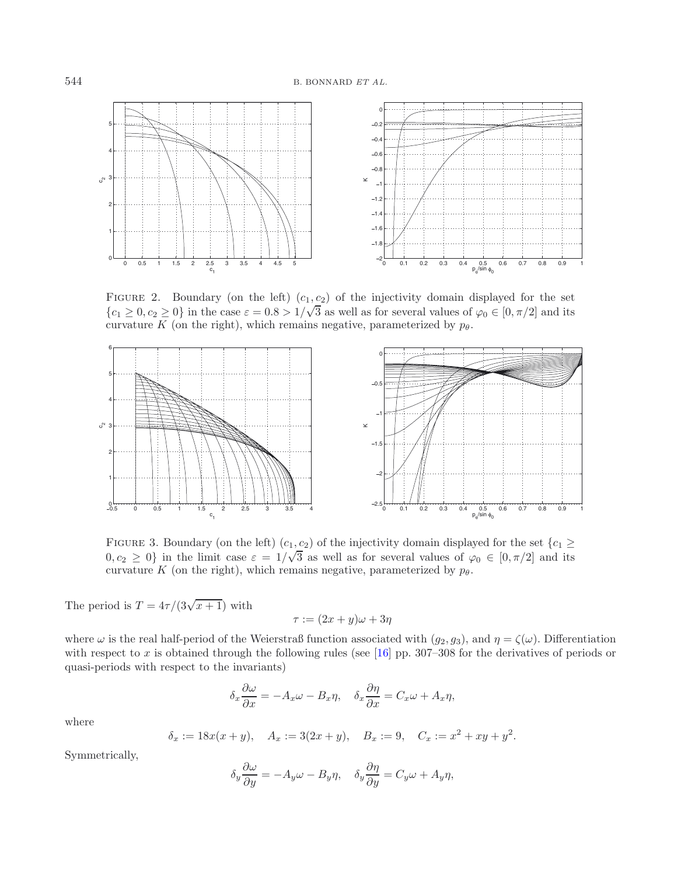<span id="page-11-0"></span>

FIGURE 2. Boundary (on the left)  $(c_1, c_2)$  of the injectivity domain displayed for the set  ${c_1 \ge 0, c_2 \ge 0}$  in the case  $\varepsilon = 0.8 > 1/\sqrt{3}$  as well as for several values of  $\varphi_0 \in [0, \pi/2]$  and its curvature K (on the right), which remains negative, parameterized by  $p_{\theta}$ .

<span id="page-11-1"></span>

FIGURE 3. Boundary (on the left)  $(c_1, c_2)$  of the injectivity domain displayed for the set  $\{c_1 \geq 0\}$  $0, c_2 \geq 0$  in the limit case  $\varepsilon = 1/\sqrt{3}$  as well as for several values of  $\varphi_0 \in [0, \pi/2]$  and its curvature K (on the right), which remains negative, parameterized by  $p_{\theta}$ .

The period is  $T = 4\tau/(3\sqrt{x+1})$  with

$$
\tau := (2x + y)\omega + 3\eta
$$

where  $\omega$  is the real half-period of the Weierstraß function associated with  $(g_2, g_3)$ , and  $\eta = \zeta(\omega)$ . Differentiation with respect to x is obtained through the following rules (see [\[16\]](#page-21-11) pp. 307–308 for the derivatives of periods or quasi-periods with respect to the invariants)

$$
\delta_x \frac{\partial \omega}{\partial x} = -A_x \omega - B_x \eta, \quad \delta_x \frac{\partial \eta}{\partial x} = C_x \omega + A_x \eta,
$$

where

$$
\delta_x := 18x(x+y), \quad A_x := 3(2x+y), \quad B_x := 9, \quad C_x := x^2 + xy + y^2.
$$

Symmetrically,

$$
\delta_y \frac{\partial \omega}{\partial y} = -A_y \omega - B_y \eta, \quad \delta_y \frac{\partial \eta}{\partial y} = C_y \omega + A_y \eta,
$$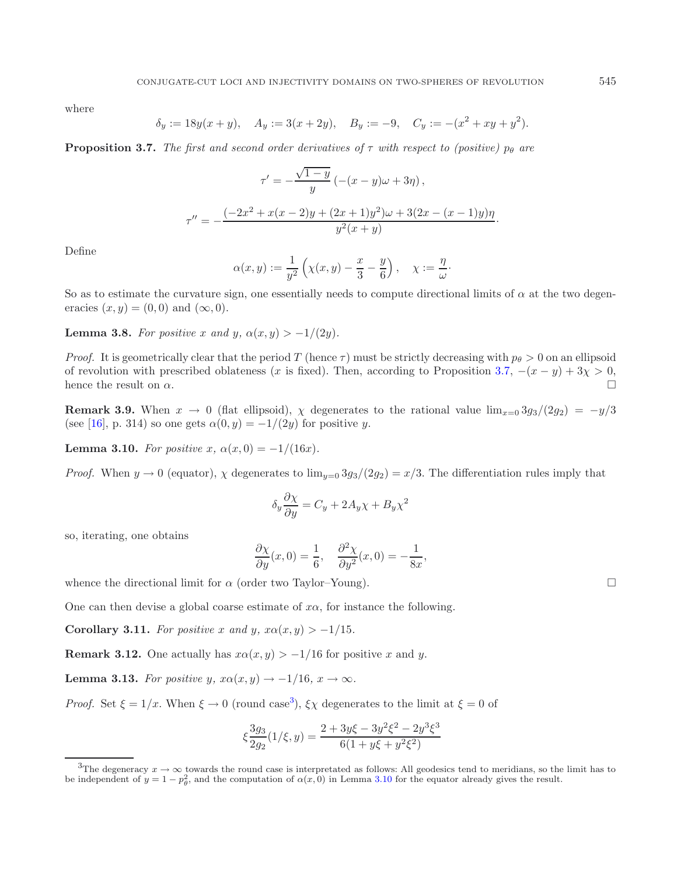where

$$
\delta_y := 18y(x+y), \quad A_y := 3(x+2y), \quad B_y := -9, \quad C_y := -(x^2 + xy + y^2).
$$

<span id="page-12-0"></span>**Proposition 3.7.** *The first and second order derivatives of*  $\tau$  *with respect to (positive)*  $p_{\theta}$  *are* 

$$
\tau' = -\frac{\sqrt{1-y}}{y} \left( -(x-y)\omega + 3\eta \right),
$$
  

$$
\tau'' = -\frac{(-2x^2 + x(x-2)y + (2x+1)y^2)\omega + 3(2x - (x-1)y)\eta}{y^2(x+y)}.
$$

Define

$$
\alpha(x,y) := \frac{1}{y^2} \left( \chi(x,y) - \frac{x}{3} - \frac{y}{6} \right), \quad \chi := \frac{\eta}{\omega}.
$$

<span id="page-12-3"></span>So as to estimate the curvature sign, one essentially needs to compute directional limits of  $\alpha$  at the two degeneracies  $(x, y) = (0, 0)$  and  $(\infty, 0)$ .

**Lemma 3.8.** *For positive* x and y,  $\alpha(x, y) > -1/(2y)$ .

*Proof.* It is geometrically clear that the period T (hence  $\tau$ ) must be strictly decreasing with  $p_{\theta} > 0$  on an ellipsoid of revolution with prescribed oblateness (x is fixed). Then, according to Proposition [3.7,](#page-12-0)  $-(x - y) + 3\chi > 0$ , hence the result on  $\alpha$ .

**Remark 3.9.** When  $x \to 0$  (flat ellipsoid),  $\chi$  degenerates to the rational value  $\lim_{x\to 0} 3g_3/(2g_2) = -y/3$ (see [\[16\]](#page-21-11), p. 314) so one gets  $\alpha(0, y) = -1/(2y)$  for positive y.

<span id="page-12-2"></span>**Lemma 3.10.** *For positive*  $x$ ,  $\alpha(x, 0) = -1/(16x)$ *.* 

*Proof.* When  $y \to 0$  (equator),  $\chi$  degenerates to  $\lim_{y\to 0} 3g_3/(2g_2) = x/3$ . The differentiation rules imply that

<span id="page-12-4"></span>
$$
\delta_y \frac{\partial \chi}{\partial y} = C_y + 2A_y \chi + B_y \chi^2
$$

so, iterating, one obtains

$$
\frac{\partial \chi}{\partial y}(x,0) = \frac{1}{6}, \quad \frac{\partial^2 \chi}{\partial y^2}(x,0) = -\frac{1}{8x},
$$

whence the directional limit for  $\alpha$  (order two Taylor–Young).

<span id="page-12-1"></span>One can then devise a global coarse estimate of  $x\alpha$ , for instance the following.

**Corollary 3.11.** *For positive* x and y,  $x\alpha(x, y) > -1/15$ *.* 

**Remark 3.12.** One actually has  $x\alpha(x, y) > -1/16$  for positive x and y.

**Lemma 3.13.** *For positive* y,  $x\alpha(x, y) \rightarrow -1/16$ ,  $x \rightarrow \infty$ *.* 

*Proof.* Set  $\xi = 1/x$ . When  $\xi \to 0$  (round case<sup>[3](#page-12-1)</sup>),  $\xi \chi$  degenerates to the limit at  $\xi = 0$  of

$$
\xi \frac{3g_3}{2g_2}(1/\xi, y) = \frac{2 + 3y\xi - 3y^2\xi^2 - 2y^3\xi^3}{6(1 + y\xi + y^2\xi^2)}
$$

<sup>&</sup>lt;sup>3</sup>The degeneracy  $x \to \infty$  towards the round case is interpretated as follows: All geodesics tend to meridians, so the limit has to be independent of  $y = 1 - p_\theta^2$ , and the computation of  $\alpha(x, 0)$  in Lemma [3.10](#page-12-2) for the equator already gives the result.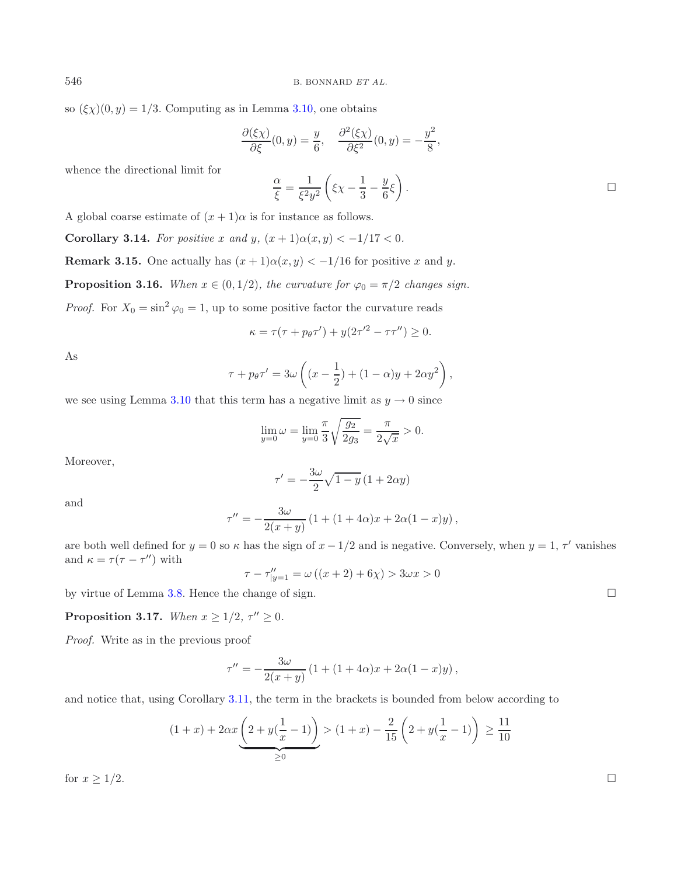so  $(\xi \chi)(0, y) = 1/3$ . Computing as in Lemma [3.10,](#page-12-2) one obtains

<span id="page-13-1"></span>
$$
\frac{\partial(\xi\chi)}{\partial\xi}(0,y) = \frac{y}{6}, \quad \frac{\partial^2(\xi\chi)}{\partial\xi^2}(0,y) = -\frac{y^2}{8},
$$

whence the directional limit for

$$
\frac{\alpha}{\xi} = \frac{1}{\xi^2 y^2} \left( \xi \chi - \frac{1}{3} - \frac{y}{6} \xi \right).
$$

A global coarse estimate of  $(x + 1)\alpha$  is for instance as follows.

**Corollary 3.14.** *For positive* x and y,  $(x + 1)\alpha(x, y) < -1/17 < 0$ *.* 

<span id="page-13-0"></span>**Remark 3.15.** One actually has  $(x + 1)\alpha(x, y) < -1/16$  for positive x and y.

**Proposition 3.16.** *When*  $x \in (0, 1/2)$ *, the curvature for*  $\varphi_0 = \pi/2$  *changes sign.* 

*Proof.* For  $X_0 = \sin^2 \varphi_0 = 1$ , up to some positive factor the curvature reads

$$
\kappa = \tau(\tau + p_{\theta}\tau') + y(2\tau'^2 - \tau\tau'') \ge 0.
$$

As

$$
\tau + p_{\theta} \tau' = 3\omega \left( (x - \frac{1}{2}) + (1 - \alpha)y + 2\alpha y^2 \right),
$$

we see using Lemma [3.10](#page-12-2) that this term has a negative limit as  $y \to 0$  since

$$
\lim_{y=0} \omega = \lim_{y=0} \frac{\pi}{3} \sqrt{\frac{g_2}{2g_3}} = \frac{\pi}{2\sqrt{x}} > 0.
$$

Moreover,

$$
\tau' = -\frac{3\omega}{2}\sqrt{1-y}\left(1+2\alpha y\right)
$$

and

$$
\tau'' = -\frac{3\omega}{2(x+y)} (1 + (1+4\alpha)x + 2\alpha(1-x)y),
$$

are both well defined for  $y = 0$  so  $\kappa$  has the sign of  $x - 1/2$  and is negative. Conversely, when  $y = 1, \tau'$  vanishes and  $\kappa = \tau(\tau - \tau'')$  with

$$
\tau - \tau''_{|y=1} = \omega ((x+2) + 6\chi) > 3\omega x > 0
$$

<span id="page-13-2"></span>by virtue of Lemma [3.8.](#page-12-3) Hence the change of sign.

**Proposition 3.17.** *When*  $x \geq 1/2$ ,  $\tau'' \geq 0$ *.* 

*Proof.* Write as in the previous proof

$$
\tau'' = -\frac{3\omega}{2(x+y)} (1 + (1+4\alpha)x + 2\alpha(1-x)y),
$$

and notice that, using Corollary [3.11,](#page-12-4) the term in the brackets is bounded from below according to

$$
(1+x) + 2\alpha x \underbrace{\left(2 + y(\frac{1}{x} - 1)\right)}_{\geq 0} > (1+x) - \frac{2}{15} \left(2 + y(\frac{1}{x} - 1)\right) \geq \frac{11}{10}
$$

for  $x \geq 1/2$ .

 $\Box$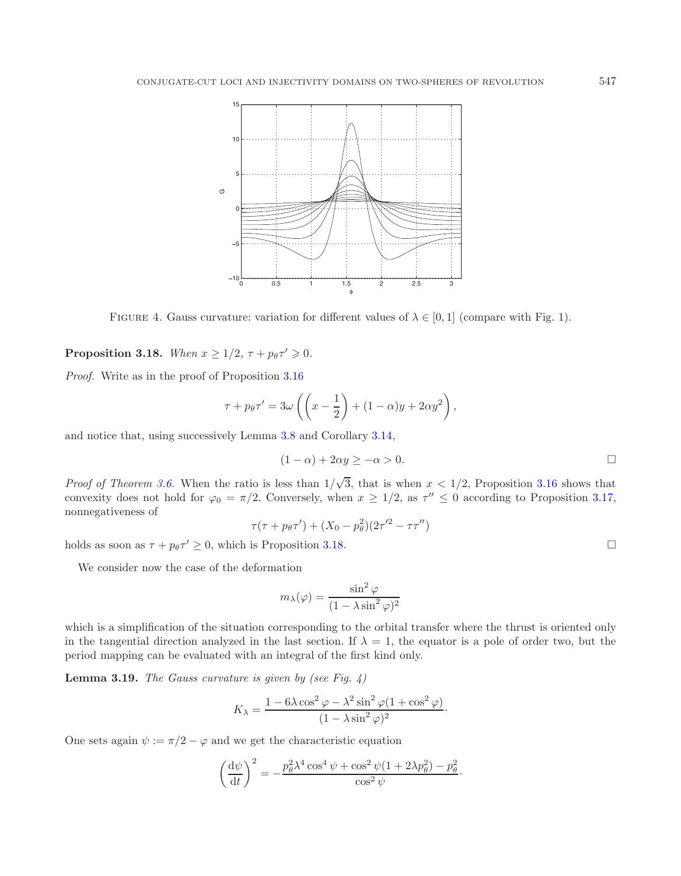

FIGURE 4. Gauss curvature: variation for different values of  $\lambda \in [0,1]$  (compare with Fig. [1\)](#page-6-1).

<span id="page-14-0"></span>**Proposition 3.18.** When  $x \geq 1/2$ ,  $\tau + p_{\theta} \tau' \geq 0$ .

*Proof.* Write as in the proof of Proposition [3.16](#page-13-0)

$$
\tau + p_{\theta} \tau' = 3\omega \left( \left( x - \frac{1}{2} \right) + (1 - \alpha)y + 2\alpha y^2 \right),
$$

and notice that, using successively Lemma [3.8](#page-12-3) and Corollary [3.14,](#page-13-1)

$$
(1 - \alpha) + 2\alpha y \ge -\alpha > 0.
$$

*Proof of Theorem [3.6.](#page-9-1)* When the ratio is less than 1/ √ 3, that is when  $x < 1/2$ , Proposition [3.16](#page-13-0) shows that convexity does not hold for  $\varphi_0 = \pi/2$ . Conversely, when  $x \ge 1/2$ , as  $\tau'' \le 0$  according to Proposition [3.17,](#page-13-2) nonnegativeness of

$$
\tau(\tau + p_{\theta}\tau') + (X_0 - p_{\theta}^2)(2\tau'^2 - \tau\tau'')
$$

holds as soon as  $\tau + p_{\theta} \tau' \geq 0$ , which is Proposition [3.18.](#page-14-0)

We consider now the case of the deformation

$$
m_{\lambda}(\varphi) = \frac{\sin^2 \varphi}{(1 - \lambda \sin^2 \varphi)^2}
$$

which is a simplification of the situation corresponding to the orbital transfer where the thrust is oriented only in the tangential direction analyzed in the last section. If  $\lambda = 1$ , the equator is a pole of order two, but the period mapping can be evaluated with an integral of the first kind only.

**Lemma 3.19.** *The Gauss curvature is given by (see Fig. 4)*

$$
K_{\lambda} = \frac{1 - 6\lambda \cos^2 \varphi - \lambda^2 \sin^2 \varphi (1 + \cos^2 \varphi)}{(1 - \lambda \sin^2 \varphi)^2}.
$$

One sets again  $\psi := \pi/2 - \varphi$  and we get the characteristic equation

$$
\left(\frac{\mathrm{d}\psi}{\mathrm{d}t}\right)^2 = -\frac{p_\theta^2 \lambda^4 \cos^4 \psi + \cos^2 \psi (1 + 2\lambda p_\theta^2) - p_\theta^2}{\cos^2 \psi}.
$$

 $\Box$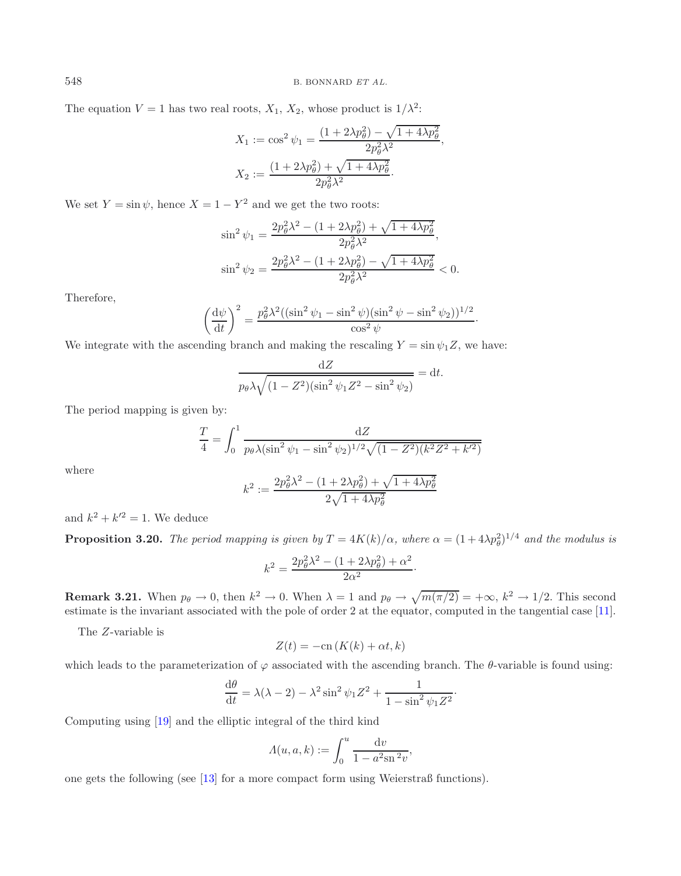The equation  $V = 1$  has two real roots,  $X_1, X_2$ , whose product is  $1/\lambda^2$ :

$$
X_1 := \cos^2 \psi_1 = \frac{(1 + 2\lambda p_\theta^2) - \sqrt{1 + 4\lambda p_\theta^2}}{2p_\theta^2 \lambda^2},
$$
  

$$
X_2 := \frac{(1 + 2\lambda p_\theta^2) + \sqrt{1 + 4\lambda p_\theta^2}}{2p_\theta^2 \lambda^2}.
$$

We set  $Y = \sin \psi$ , hence  $X = 1 - Y^2$  and we get the two roots:

$$
\sin^2 \psi_1 = \frac{2p_\theta^2 \lambda^2 - (1 + 2\lambda p_\theta^2) + \sqrt{1 + 4\lambda p_\theta^2}}{2p_\theta^2 \lambda^2},
$$
  

$$
\sin^2 \psi_2 = \frac{2p_\theta^2 \lambda^2 - (1 + 2\lambda p_\theta^2) - \sqrt{1 + 4\lambda p_\theta^2}}{2p_\theta^2 \lambda^2} < 0.
$$

Therefore,

$$
\left(\frac{\mathrm{d}\psi}{\mathrm{d}t}\right)^2 = \frac{p_\theta^2 \lambda^2 ((\sin^2 \psi_1 - \sin^2 \psi)(\sin^2 \psi - \sin^2 \psi_2))^{1/2}}{\cos^2 \psi}.
$$

We integrate with the ascending branch and making the rescaling  $Y = \sin \psi_1 Z$ , we have:

$$
\frac{\mathrm{d}Z}{p_{\theta}\lambda\sqrt{(1-Z^2)(\sin^2\psi_1Z^2-\sin^2\psi_2)}}=\mathrm{d}t.
$$

The period mapping is given by:

$$
\frac{T}{4} = \int_0^1 \frac{dZ}{p_\theta \lambda (\sin^2 \psi_1 - \sin^2 \psi_2)^{1/2} \sqrt{(1 - Z^2)(k^2 Z^2 + k'^2)}}
$$

where

$$
k^{2} := \frac{2p_{\theta}^{2}\lambda^{2} - (1 + 2\lambda p_{\theta}^{2}) + \sqrt{1 + 4\lambda p_{\theta}^{2}}}{2\sqrt{1 + 4\lambda p_{\theta}^{2}}}
$$

and  $k^2 + k'^2 = 1$ . We deduce

**Proposition 3.20.** *The period mapping is given by*  $T = 4K(k)/\alpha$ , where  $\alpha = (1 + 4\lambda p_{\theta}^2)^{1/4}$  and the modulus is

$$
k^{2} = \frac{2p_{\theta}^{2}\lambda^{2} - (1 + 2\lambda p_{\theta}^{2}) + \alpha^{2}}{2\alpha^{2}}.
$$

**Remark 3.21.** When  $p_{\theta} \to 0$ , then  $k^2 \to 0$ . When  $\lambda = 1$  and  $p_{\theta} \to \sqrt{m(\pi/2)} = +\infty$ ,  $k^2 \to 1/2$ . This second estimate is the invariant associated with the pole of order 2 at the equator, computed in the tangential case [\[11](#page-21-7)].

The Z-variable is

$$
Z(t) = -\mathrm{cn}\left(K(k) + \alpha t, k\right)
$$

which leads to the parameterization of  $\varphi$  associated with the ascending branch. The  $\theta$ -variable is found using:

$$
\frac{\mathrm{d}\theta}{\mathrm{d}t} = \lambda(\lambda - 2) - \lambda^2 \sin^2 \psi_1 Z^2 + \frac{1}{1 - \sin^2 \psi_1 Z^2}.
$$

Computing using [\[19\]](#page-21-12) and the elliptic integral of the third kind

$$
\Lambda(u,a,k) := \int_0^u \frac{\mathrm{d}v}{1 - a^2 \mathrm{sn}^2 v},
$$

one gets the following (see [\[13\]](#page-21-10) for a more compact form using Weierstraß functions).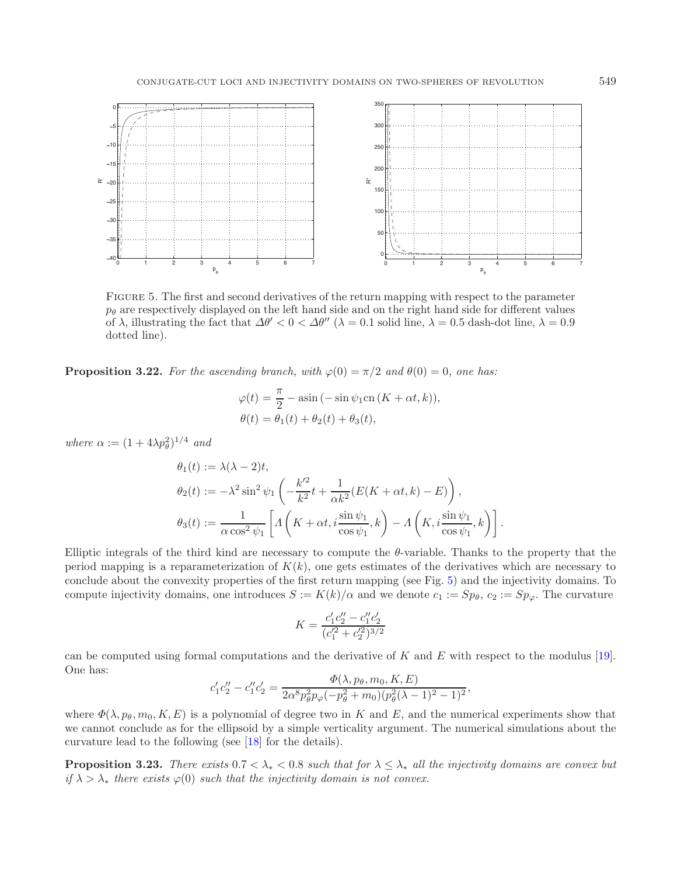<span id="page-16-0"></span>

Figure 5. The first and second derivatives of the return mapping with respect to the parameter  $p_{\theta}$  are respectively displayed on the left hand side and on the right hand side for different values of  $\lambda$ , illustrating the fact that  $\Delta\theta' < 0 < \Delta\theta''$  ( $\lambda = 0.1$  solid line,  $\lambda = 0.5$  dash-dot line,  $\lambda = 0.9$ dotted line).

**Proposition 3.22.** For the ascending branch, with  $\varphi(0) = \pi/2$  and  $\theta(0) = 0$ , one has:

$$
\varphi(t) = \frac{\pi}{2} - \operatorname{asin}(-\sin \psi_1 \operatorname{cn} (K + \alpha t, k)),
$$
  

$$
\theta(t) = \theta_1(t) + \theta_2(t) + \theta_3(t),
$$

*where*  $\alpha := (1 + 4\lambda p_{\theta}^2)^{1/4}$  *and* 

$$
\theta_1(t) := \lambda(\lambda - 2)t,
$$
  
\n
$$
\theta_2(t) := -\lambda^2 \sin^2 \psi_1 \left( -\frac{k'^2}{k^2}t + \frac{1}{\alpha k^2} (E(K + \alpha t, k) - E) \right),
$$
  
\n
$$
\theta_3(t) := \frac{1}{\alpha \cos^2 \psi_1} \left[ \Lambda \left( K + \alpha t, i \frac{\sin \psi_1}{\cos \psi_1}, k \right) - \Lambda \left( K, i \frac{\sin \psi_1}{\cos \psi_1}, k \right) \right].
$$

Elliptic integrals of the third kind are necessary to compute the  $\theta$ -variable. Thanks to the property that the period mapping is a reparameterization of  $K(k)$ , one gets estimates of the derivatives which are necessary to conclude about the convexity properties of the first return mapping (see Fig. [5\)](#page-16-0) and the injectivity domains. To compute injectivity domains, one introduces  $S := K(k)/\alpha$  and we denote  $c_1 := Sp_\theta$ ,  $c_2 := Sp_\varphi$ . The curvature

$$
K = \frac{c_1'c_2'' - c_1''c_2'}{(c_1'^2 + c_2'^2)^{3/2}}
$$

can be computed using formal computations and the derivative of K and E with respect to the modulus [\[19](#page-21-12)]. One has:

$$
c_1'c_2'' - c_1''c_2' = \frac{\Phi(\lambda, p_\theta, m_0, K, E)}{2\alpha^8 p_\theta^2 p_\varphi(-p_\theta^2 + m_0)(p_\theta^2(\lambda - 1)^2 - 1)^2},
$$

where  $\Phi(\lambda, p_\theta, m_0, K, E)$  is a polynomial of degree two in K and E, and the numerical experiments show that we cannot conclude as for the ellipsoid by a simple verticality argument. The numerical simulations about the curvature lead to the following (see [\[18\]](#page-21-14) for the details).

**Proposition 3.23.** *There exists* 0.7 < λ<sup>∗</sup> < 0.8 *such that for* λ ≤ λ<sup>∗</sup> *all the injectivity domains are convex but if*  $\lambda > \lambda_*$  *there exists*  $\varphi(0)$  *such that the injectivity domain is not convex.*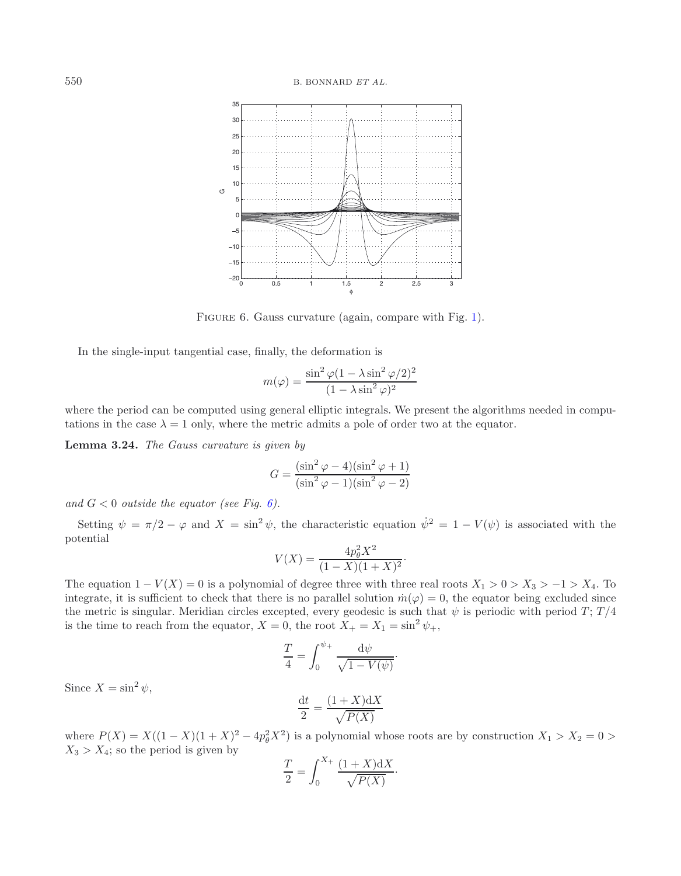<span id="page-17-0"></span>

FIGURE 6. Gauss curvature (again, compare with Fig. [1\)](#page-6-1).

In the single-input tangential case, finally, the deformation is

$$
m(\varphi) = \frac{\sin^2 \varphi (1 - \lambda \sin^2 \varphi / 2)^2}{(1 - \lambda \sin^2 \varphi)^2}
$$

where the period can be computed using general elliptic integrals. We present the algorithms needed in computations in the case  $\lambda = 1$  only, where the metric admits a pole of order two at the equator.

**Lemma 3.24.** *The Gauss curvature is given by*

$$
G = \frac{(\sin^2 \varphi - 4)(\sin^2 \varphi + 1)}{(\sin^2 \varphi - 1)(\sin^2 \varphi - 2)}
$$

and  $G < 0$  *outside the equator (see Fig. [6\)](#page-17-0).* 

Setting  $\psi = \pi/2 - \varphi$  and  $X = \sin^2 \psi$ , the characteristic equation  $\dot{\psi}^2 = 1 - V(\psi)$  is associated with the potential

$$
V(X) = \frac{4p_{\theta}^{2}X^{2}}{(1-X)(1+X)^{2}}.
$$

The equation  $1 - V(X) = 0$  is a polynomial of degree three with three real roots  $X_1 > 0 > X_3 > -1 > X_4$ . To integrate, it is sufficient to check that there is no parallel solution  $\dot{m}(\varphi) = 0$ , the equator being excluded since the metric is singular. Meridian circles excepted, every geodesic is such that  $\psi$  is periodic with period T; T/4 is the time to reach from the equator,  $X = 0$ , the root  $X_+ = X_1 = \sin^2 \psi_+$ ,

$$
\frac{T}{4} = \int_0^{\psi_+} \frac{\mathrm{d}\psi}{\sqrt{1 - V(\psi)}}.
$$

Since  $X = \sin^2 \psi$ ,

$$
\frac{\mathrm{d}t}{2} = \frac{(1+X)\mathrm{d}X}{\sqrt{P(X)}}
$$

where  $P(X) = X((1 - X)(1 + X)^2 - 4p_\theta^2 X^2)$  is a polynomial whose roots are by construction  $X_1 > X_2 = 0$  $X_3 > X_4$ ; so the period is given by

$$
\frac{T}{2} = \int_0^{X_+} \frac{(1+X)dX}{\sqrt{P(X)}}.
$$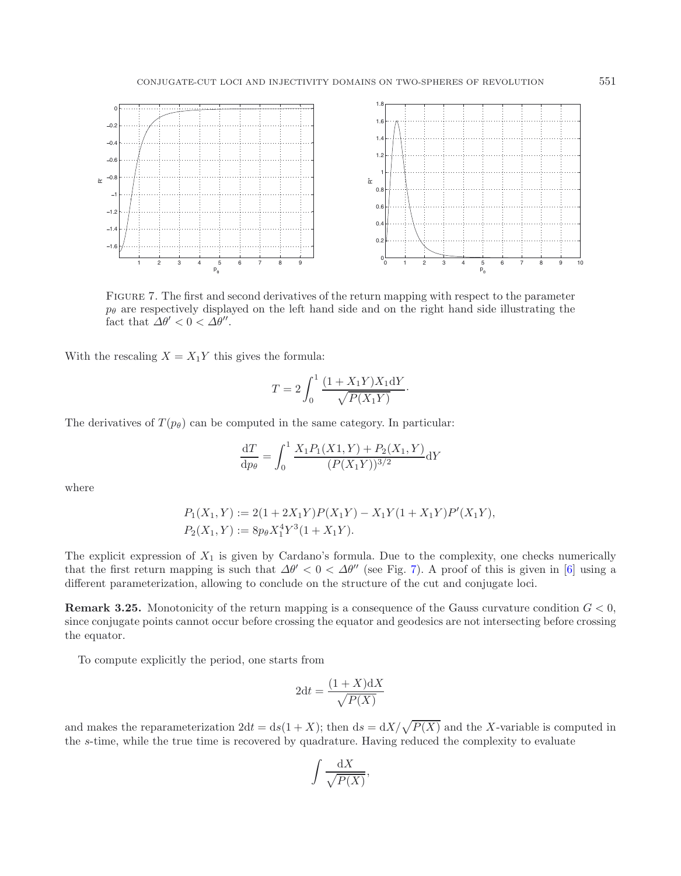<span id="page-18-0"></span>

Figure 7. The first and second derivatives of the return mapping with respect to the parameter  $p_{\theta}$  are respectively displayed on the left hand side and on the right hand side illustrating the fact that  $\Delta\theta' < 0 < \Delta\theta''$ .

With the rescaling  $X = X_1Y$  this gives the formula:

$$
T = 2 \int_0^1 \frac{(1 + X_1 Y) X_1 \mathrm{d} Y}{\sqrt{P(X_1 Y)}}.
$$

The derivatives of  $T(p_\theta)$  can be computed in the same category. In particular:

$$
\frac{\mathrm{d}T}{\mathrm{d}p_{\theta}} = \int_0^1 \frac{X_1 P_1(X1, Y) + P_2(X_1, Y)}{(P(X_1 Y))^{3/2}} \mathrm{d}Y
$$

where

$$
P_1(X_1, Y) := 2(1 + 2X_1Y)P(X_1Y) - X_1Y(1 + X_1Y)P'(X_1Y),
$$
  
\n
$$
P_2(X_1, Y) := 8p_\theta X_1^4 Y^3(1 + X_1Y).
$$

The explicit expression of  $X_1$  is given by Cardano's formula. Due to the complexity, one checks numerically that the first return mapping is such that  $\Delta\theta' < 0 < \Delta\theta''$  (see Fig. [7\)](#page-18-0). A proof of this is given in [\[6\]](#page-20-4) using a different parameterization, allowing to conclude on the structure of the cut and conjugate loci.

**Remark 3.25.** Monotonicity of the return mapping is a consequence of the Gauss curvature condition  $G < 0$ , since conjugate points cannot occur before crossing the equator and geodesics are not intersecting before crossing the equator.

To compute explicitly the period, one starts from

$$
2dt = \frac{(1+X)dX}{\sqrt{P(X)}}
$$

and makes the reparameterization  $2dt = ds(1 + X)$ ; then  $ds = dX/\sqrt{P(X)}$  and the X-variable is computed in the s-time, while the true time is recovered by quadrature. Having reduced the complexity to evaluate

$$
\int \frac{\mathrm{d}X}{\sqrt{P(X)}},
$$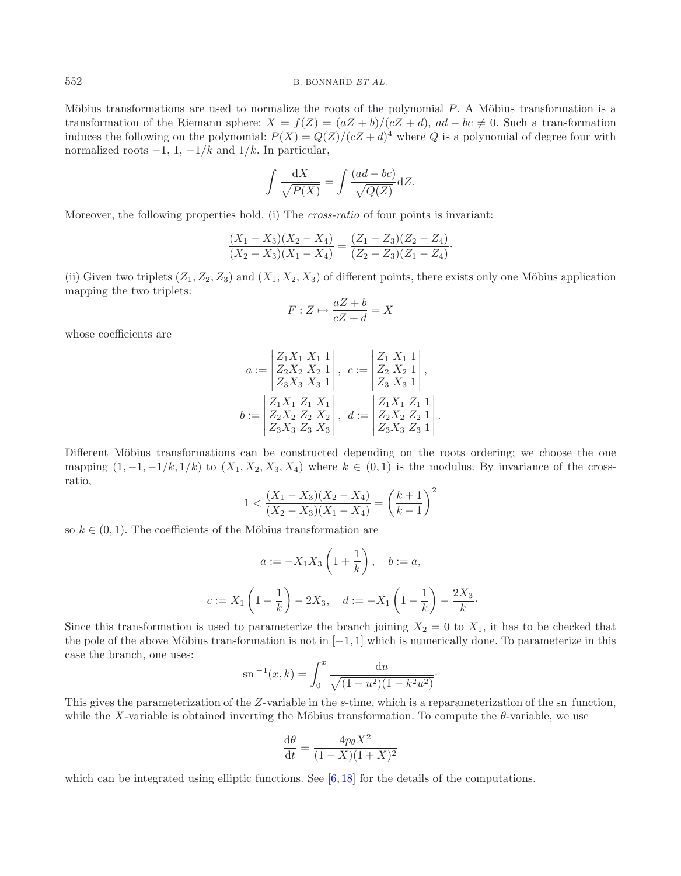Möbius transformations are used to normalize the roots of the polynomial  $P$ . A Möbius transformation is a transformation of the Riemann sphere:  $X = f(Z) = (aZ + b)/(cZ + d)$ ,  $ad - bc \neq 0$ . Such a transformation induces the following on the polynomial:  $P(X) = Q(Z)/(cZ + d)^4$  where Q is a polynomial of degree four with normalized roots  $-1$ , 1,  $-1/k$  and  $1/k$ . In particular,

$$
\int \frac{\mathrm{d}X}{\sqrt{P(X)}} = \int \frac{(ad - bc)}{\sqrt{Q(Z)}} \mathrm{d}Z.
$$

Moreover, the following properties hold. (i) The *cross-ratio* of four points is invariant:

$$
\frac{(X_1 - X_3)(X_2 - X_4)}{(X_2 - X_3)(X_1 - X_4)} = \frac{(Z_1 - Z_3)(Z_2 - Z_4)}{(Z_2 - Z_3)(Z_1 - Z_4)}.
$$

(ii) Given two triplets  $(Z_1, Z_2, Z_3)$  and  $(X_1, X_2, X_3)$  of different points, there exists only one Möbius application mapping the two triplets:

$$
F: Z \mapsto \frac{aZ + b}{cZ + d} = X
$$

whose coefficients are

$$
a := \begin{vmatrix} Z_1 X_1 & X_1 & 1 \\ Z_2 X_2 & X_2 & 1 \\ Z_3 X_3 & X_3 & 1 \end{vmatrix}, \quad c := \begin{vmatrix} Z_1 & X_1 & 1 \\ Z_2 & X_2 & 1 \\ Z_3 & X_3 & 1 \end{vmatrix},
$$

$$
b := \begin{vmatrix} Z_1 X_1 & Z_1 & X_1 \\ Z_2 X_2 & Z_2 & X_2 \\ Z_3 X_3 & Z_3 & X_3 \end{vmatrix}, \quad d := \begin{vmatrix} Z_1 X_1 & Z_1 & 1 \\ Z_2 X_2 & Z_2 & 1 \\ Z_3 X_3 & Z_3 & 1 \end{vmatrix}.
$$

Different Möbius transformations can be constructed depending on the roots ordering; we choose the one mapping  $(1, -1, -1/k, 1/k)$  to  $(X_1, X_2, X_3, X_4)$  where  $k \in (0, 1)$  is the modulus. By invariance of the crossratio,

$$
1 < \frac{(X_1 - X_3)(X_2 - X_4)}{(X_2 - X_3)(X_1 - X_4)} = \left(\frac{k+1}{k-1}\right)^2
$$

so  $k \in (0, 1)$ . The coefficients of the Möbius transformation are

$$
a := -X_1 X_3 \left( 1 + \frac{1}{k} \right), \quad b := a,
$$
  

$$
c := X_1 \left( 1 - \frac{1}{k} \right) - 2X_3, \quad d := -X_1 \left( 1 - \frac{1}{k} \right) - \frac{2X_3}{k}.
$$

Since this transformation is used to parameterize the branch joining  $X_2 = 0$  to  $X_1$ , it has to be checked that the pole of the above Möbius transformation is not in  $[-1, 1]$  which is numerically done. To parameterize in this case the branch, one uses:

$$
sn^{-1}(x,k) = \int_0^x \frac{du}{\sqrt{(1 - u^2)(1 - k^2 u^2)}}.
$$

This gives the parameterization of the Z-variable in the s-time, which is a reparameterization of the sn function, while the X-variable is obtained inverting the Möbius transformation. To compute the  $\theta$ -variable, we use

$$
\frac{\mathrm{d}\theta}{\mathrm{d}t} = \frac{4p_{\theta}X^2}{(1-X)(1+X)^2}
$$

which can be integrated using elliptic functions. See [\[6](#page-20-4),[18](#page-21-14)] for the details of the computations.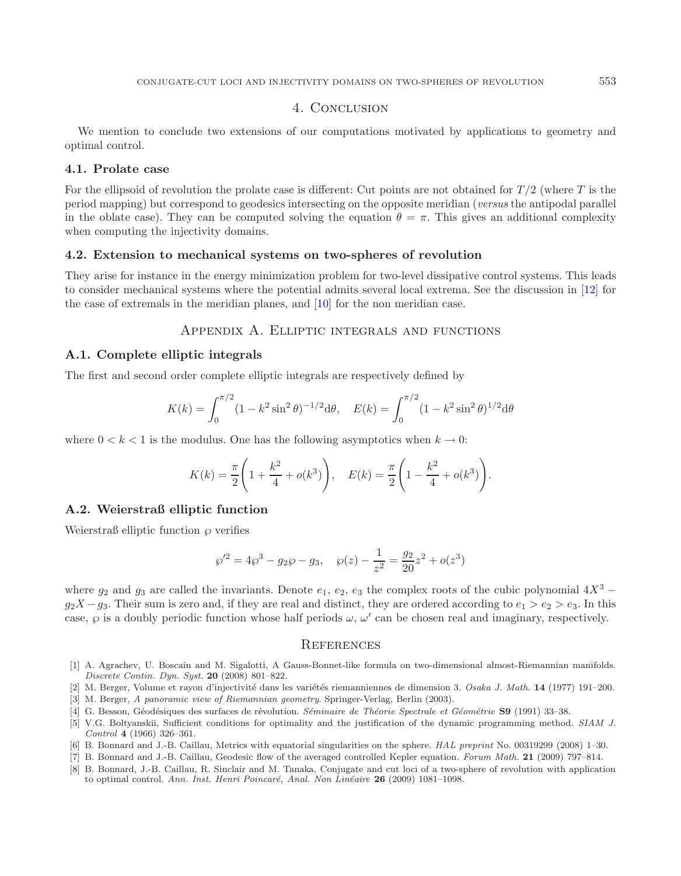# 4. CONCLUSION

We mention to conclude two extensions of our computations motivated by applications to geometry and optimal control.

#### **4.1. Prolate case**

For the ellipsoid of revolution the prolate case is different: Cut points are not obtained for  $T/2$  (where T is the period mapping) but correspond to geodesics intersecting on the opposite meridian (*versus* the antipodal parallel in the oblate case). They can be computed solving the equation  $\theta = \pi$ . This gives an additional complexity when computing the injectivity domains.

#### **4.2. Extension to mechanical systems on two-spheres of revolution**

They arise for instance in the energy minimization problem for two-level dissipative control systems. This leads to consider mechanical systems where the potential admits several local extrema. See the discussion in [\[12\]](#page-21-15) for the case of extremals in the meridian planes, and [\[10](#page-21-16)] for the non meridian case.

# Appendix A. Elliptic integrals and functions

## **A.1. Complete elliptic integrals**

The first and second order complete elliptic integrals are respectively defined by

$$
K(k) = \int_0^{\pi/2} (1 - k^2 \sin^2 \theta)^{-1/2} d\theta, \quad E(k) = \int_0^{\pi/2} (1 - k^2 \sin^2 \theta)^{1/2} d\theta
$$

where  $0 < k < 1$  is the modulus. One has the following asymptotics when  $k \to 0$ :

$$
K(k) = \frac{\pi}{2} \left( 1 + \frac{k^2}{4} + o(k^3) \right), \quad E(k) = \frac{\pi}{2} \left( 1 - \frac{k^2}{4} + o(k^3) \right).
$$

## **A.2. Weierstraß elliptic function**

Weierstraß elliptic function  $\wp$  verifies

$$
\wp'^2 = 4\wp^3 - g_2\wp - g_3
$$
,  $\wp(z) - \frac{1}{z^2} = \frac{g_2}{20}z^2 + o(z^3)$ 

where  $g_2$  and  $g_3$  are called the invariants. Denote  $e_1, e_2, e_3$  the complex roots of the cubic polynomial  $4X^3$  −  $g_2X - g_3$ . Their sum is zero and, if they are real and distinct, they are ordered according to  $e_1 > e_2 > e_3$ . In this case,  $\wp$  is a doubly periodic function whose half periods  $\omega$ ,  $\omega'$  can be chosen real and imaginary, respectively.

#### **REFERENCES**

- <span id="page-20-5"></span>[1] A. Agrachev, U. Boscain and M. Sigalotti, A Gauss-Bonnet-like formula on two-dimensional almost-Riemannian manifolds. Discrete Contin. Dyn. Syst. **20** (2008) 801–822.
- <span id="page-20-7"></span>[2] M. Berger, Volume et rayon d'injectivité dans les variétés riemanniennes de dimension 3. Osaka J. Math. **14** (1977) 191–200. [3] M. Berger, A panoramic view of Riemannian geometry. Springer-Verlag, Berlin (2003).
- <span id="page-20-6"></span><span id="page-20-0"></span>[4] G. Besson, G´eod´esiques des surfaces de r´evolution. S´eminaire de Th´eorie Spectrale et G´eom´etrie **S9** (1991) 33–38.
- 
- <span id="page-20-2"></span>[5] V.G. Boltyanskii, Sufficient conditions for optimality and the justification of the dynamic programming method. SIAM J. Control **4** (1966) 326–361.
- <span id="page-20-4"></span>[6] B. Bonnard and J.-B. Caillau, Metrics with equatorial singularities on the sphere. HAL preprint No. 00319299 (2008) 1–30.
- <span id="page-20-3"></span>[7] B. Bonnard and J.-B. Caillau, Geodesic flow of the averaged controlled Kepler equation. Forum Math. **21** (2009) 797–814.
- <span id="page-20-1"></span>[8] B. Bonnard, J.-B. Caillau, R. Sinclair and M. Tanaka, Conjugate and cut loci of a two-sphere of revolution with application to optimal control. Ann. Inst. Henri Poincaré, Anal. Non Linéaire **26** (2009) 1081–1098.